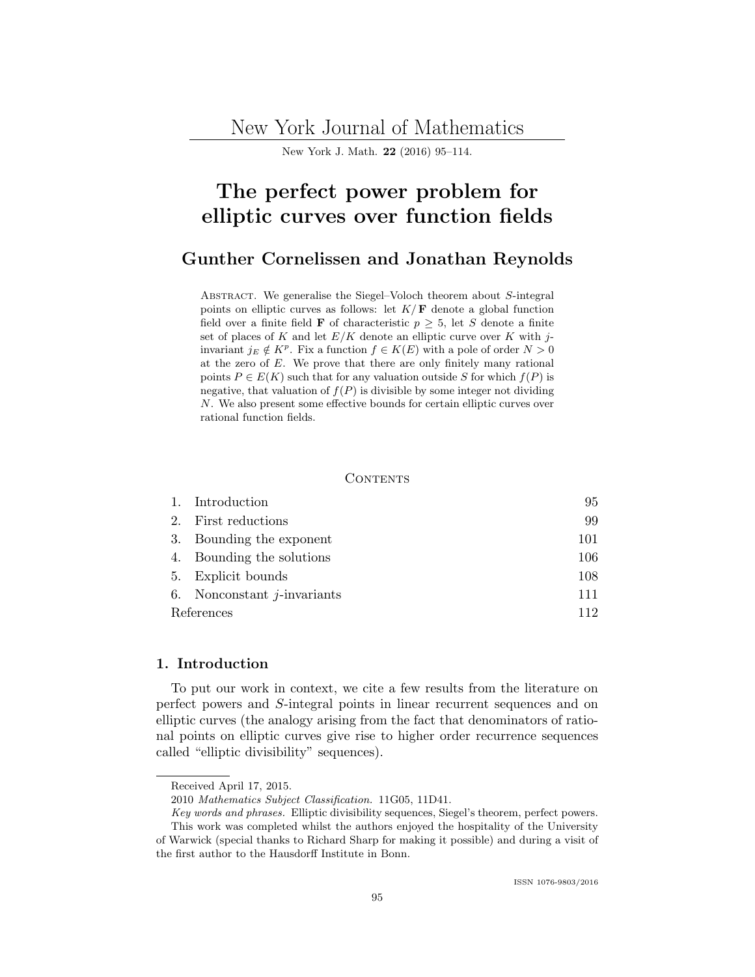New York Journal of Mathematics

[New York J. Math.](http://nyjm.albany.edu/nyjm.html) [22](http://nyjm.albany.edu/j/2016/Vol22.htm) (2016) 95–114.

# The perfect power problem for elliptic curves over function fields

# [Gunther Cornelissen](#page-19-0) and [Jonathan Reynolds](#page-19-0)

ABSTRACT. We generalise the Siegel–Voloch theorem about S-integral points on elliptic curves as follows: let  $K/\mathbf{F}$  denote a global function field over a finite field **F** of characteristic  $p \geq 5$ , let S denote a finite set of places of K and let  $E/K$  denote an elliptic curve over K with jinvariant  $j_E \notin K^p$ . Fix a function  $f \in K(E)$  with a pole of order  $N > 0$ at the zero of E. We prove that there are only finitely many rational points  $P \in E(K)$  such that for any valuation outside S for which  $f(P)$  is negative, that valuation of  $f(P)$  is divisible by some integer not dividing N. We also present some effective bounds for certain elliptic curves over rational function fields.

#### **CONTENTS**

|            | 1. Introduction                | 95  |
|------------|--------------------------------|-----|
|            | 2. First reductions            | 99  |
|            | 3. Bounding the exponent       | 101 |
|            | 4. Bounding the solutions      | 106 |
|            | 5. Explicit bounds             | 108 |
|            | 6. Nonconstant $j$ -invariants | 111 |
| References |                                | 119 |

# 1. Introduction

To put our work in context, we cite a few results from the literature on perfect powers and S-integral points in linear recurrent sequences and on elliptic curves (the analogy arising from the fact that denominators of rational points on elliptic curves give rise to higher order recurrence sequences called "elliptic divisibility" sequences).

Received April 17, 2015.

<sup>2010</sup> Mathematics Subject Classification. 11G05, 11D41.

Key words and phrases. Elliptic divisibility sequences, Siegel's theorem, perfect powers. This work was completed whilst the authors enjoyed the hospitality of the University

of Warwick (special thanks to Richard Sharp for making it possible) and during a visit of the first author to the Hausdorff Institute in Bonn.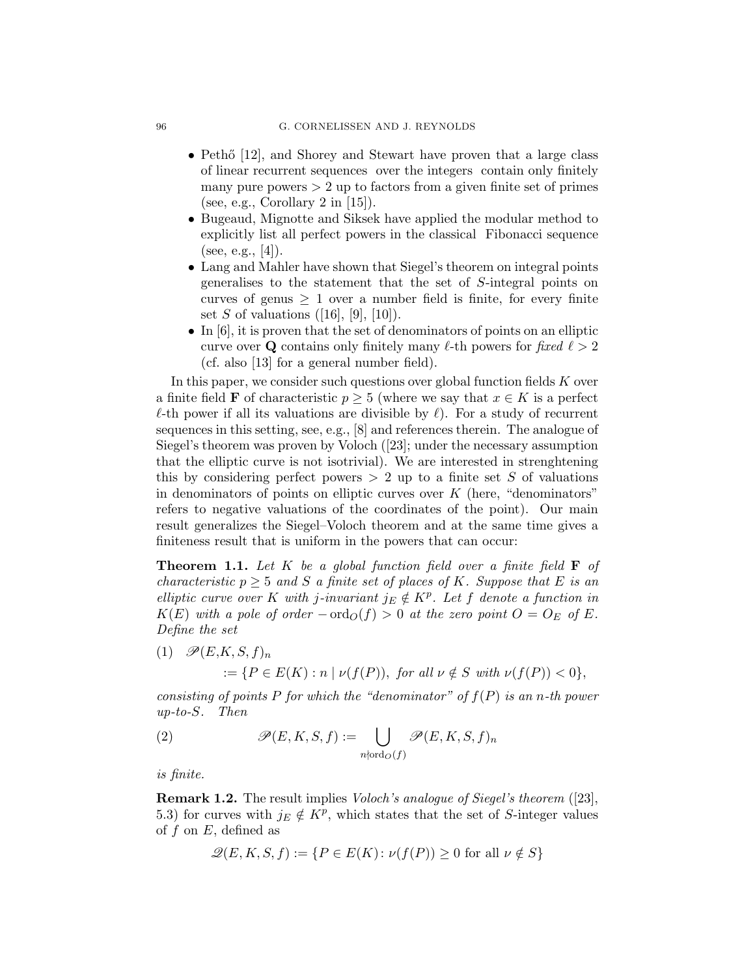- Pethő  $[12]$ , and Shorey and Stewart have proven that a large class of linear recurrent sequences over the integers contain only finitely many pure powers  $> 2$  up to factors from a given finite set of primes (see, e.g., Corollary 2 in [\[15\]](#page-18-0)).
- Bugeaud, Mignotte and Siksek have applied the modular method to explicitly list all perfect powers in the classical Fibonacci sequence (see, e.g., [\[4\]](#page-17-0)).
- Lang and Mahler have shown that Siegel's theorem on integral points generalises to the statement that the set of S-integral points on curves of genus  $\geq 1$  over a number field is finite, for every finite set S of valuations  $([16], [9], [10])$  $([16], [9], [10])$  $([16], [9], [10])$  $([16], [9], [10])$  $([16], [9], [10])$  $([16], [9], [10])$  $([16], [9], [10])$ .
- In  $[6]$ , it is proven that the set of denominators of points on an elliptic curve over Q contains only finitely many  $\ell$ -th powers for fixed  $\ell > 2$ (cf. also [\[13\]](#page-18-0) for a general number field).

In this paper, we consider such questions over global function fields  $K$  over a finite field **F** of characteristic  $p \geq 5$  (where we say that  $x \in K$  is a perfect  $\ell$ -th power if all its valuations are divisible by  $\ell$ ). For a study of recurrent sequences in this setting, see, e.g., [\[8\]](#page-18-0) and references therein. The analogue of Siegel's theorem was proven by Voloch ([\[23\]](#page-18-0); under the necessary assumption that the elliptic curve is not isotrivial). We are interested in strenghtening this by considering perfect powers  $> 2$  up to a finite set S of valuations in denominators of points on elliptic curves over  $K$  (here, "denominators" refers to negative valuations of the coordinates of the point). Our main result generalizes the Siegel–Voloch theorem and at the same time gives a finiteness result that is uniform in the powers that can occur:

**Theorem 1.1.** Let K be a global function field over a finite field  $\mathbf{F}$  of characteristic  $p \geq 5$  and S a finite set of places of K. Suppose that E is an elliptic curve over K with j-invariant  $j_E \notin K^p$ . Let f denote a function in  $K(E)$  with a pole of order  $-\text{ord}_O(f) > 0$  at the zero point  $O = O_E$  of E. Define the set

(1)  $\mathscr{P}(E,K,S,f)_n$  $:= \{P \in E(K) : n \mid \nu(f(P)), \text{ for all } \nu \notin S \text{ with } \nu(f(P)) < 0\},\$ 

consisting of points P for which the "denominator" of  $f(P)$  is an n-th power up-to-S. Then

(2) 
$$
\mathscr{P}(E, K, S, f) := \bigcup_{n \nmid \text{ord}_O(f)} \mathscr{P}(E, K, S, f)_n
$$

is finite.

Remark 1.2. The result implies Voloch's analogue of Siegel's theorem ([\[23\]](#page-18-0), 5.3) for curves with  $j_E \notin K^p$ , which states that the set of S-integer values of  $f$  on  $E$ , defined as

$$
\mathcal{Q}(E, K, S, f) := \{ P \in E(K) \colon \nu(f(P)) \ge 0 \text{ for all } \nu \notin S \}
$$

<span id="page-1-0"></span>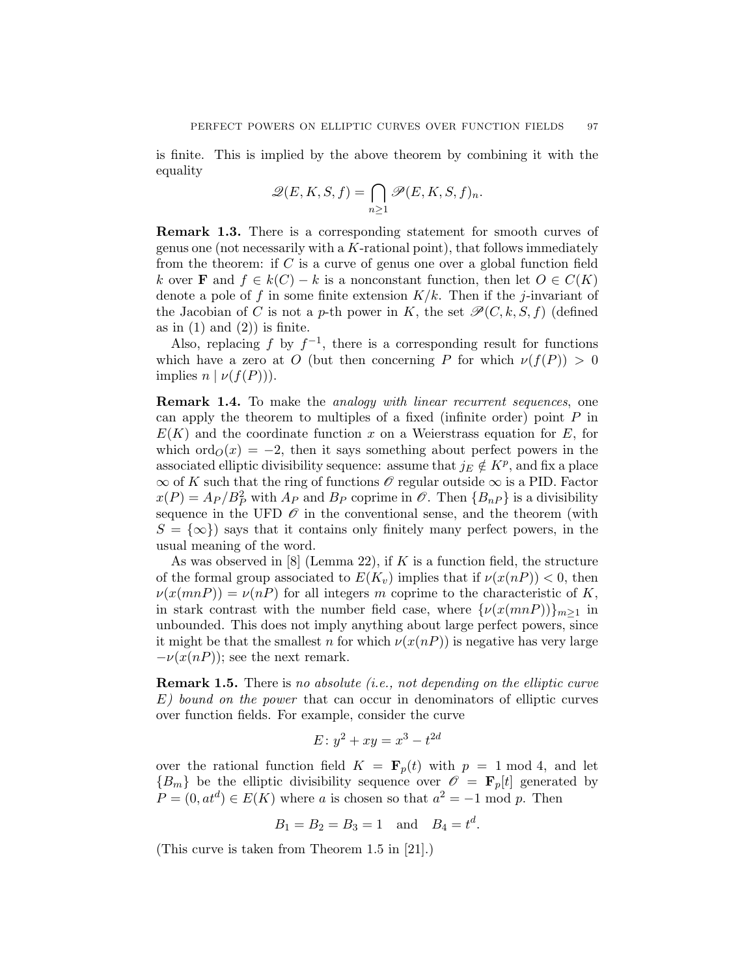is finite. This is implied by the above theorem by combining it with the equality

$$
\mathscr{Q}(E, K, S, f) = \bigcap_{n \ge 1} \mathscr{P}(E, K, S, f)_n.
$$

Remark 1.3. There is a corresponding statement for smooth curves of genus one (not necessarily with a  $K$ -rational point), that follows immediately from the theorem: if  $C$  is a curve of genus one over a global function field k over **F** and  $f \in k(C) - k$  is a nonconstant function, then let  $O \in C(K)$ denote a pole of f in some finite extension  $K/k$ . Then if the j-invariant of the Jacobian of C is not a p-th power in K, the set  $\mathcal{P}(C, k, S, f)$  (defined as in  $(1)$  and  $(2)$ ) is finite.

Also, replacing f by  $f^{-1}$ , there is a corresponding result for functions which have a zero at O (but then concerning P for which  $\nu(f(P)) > 0$ implies  $n \mid \nu(f(P))$ .

Remark 1.4. To make the analogy with linear recurrent sequences, one can apply the theorem to multiples of a fixed (infinite order) point  $P$  in  $E(K)$  and the coordinate function x on a Weierstrass equation for E, for which  $\text{ord}_{\mathcal{O}}(x) = -2$ , then it says something about perfect powers in the associated elliptic divisibility sequence: assume that  $j_E \notin K^p$ , and fix a place  $\infty$  of K such that the ring of functions  $\mathscr O$  regular outside  $\infty$  is a PID. Factor  $x(P) = A_P / B_P^2$  with  $A_P$  and  $B_P$  coprime in  $\mathcal{O}$ . Then  $\{B_{nP}\}\$ is a divisibility sequence in the UFD  $\mathcal O$  in the conventional sense, and the theorem (with  $S = \{\infty\}$  says that it contains only finitely many perfect powers, in the usual meaning of the word.

As was observed in  $[8]$  (Lemma 22), if K is a function field, the structure of the formal group associated to  $E(K_v)$  implies that if  $\nu(x(nP)) < 0$ , then  $\nu(x(mnP)) = \nu(nP)$  for all integers m coprime to the characteristic of K, in stark contrast with the number field case, where  $\{\nu(x(mnP))\}_{m\geq 1}$  in unbounded. This does not imply anything about large perfect powers, since it might be that the smallest n for which  $\nu(x(nP))$  is negative has very large  $-\nu(x(nP))$ ; see the next remark.

**Remark 1.5.** There is no absolute (i.e., not depending on the elliptic curve E) bound on the power that can occur in denominators of elliptic curves over function fields. For example, consider the curve

$$
E: y^2 + xy = x^3 - t^{2d}
$$

over the rational function field  $K = \mathbf{F}_p(t)$  with  $p = 1 \text{ mod } 4$ , and let  ${B_m}$  be the elliptic divisibility sequence over  $\mathscr{O} = \mathbf{F}_p[t]$  generated by  $P = (0, at^d) \in E(K)$  where a is chosen so that  $a^2 = -1$  mod p. Then

$$
B_1 = B_2 = B_3 = 1
$$
 and  $B_4 = t^d$ .

(This curve is taken from Theorem 1.5 in [\[21\]](#page-18-0).)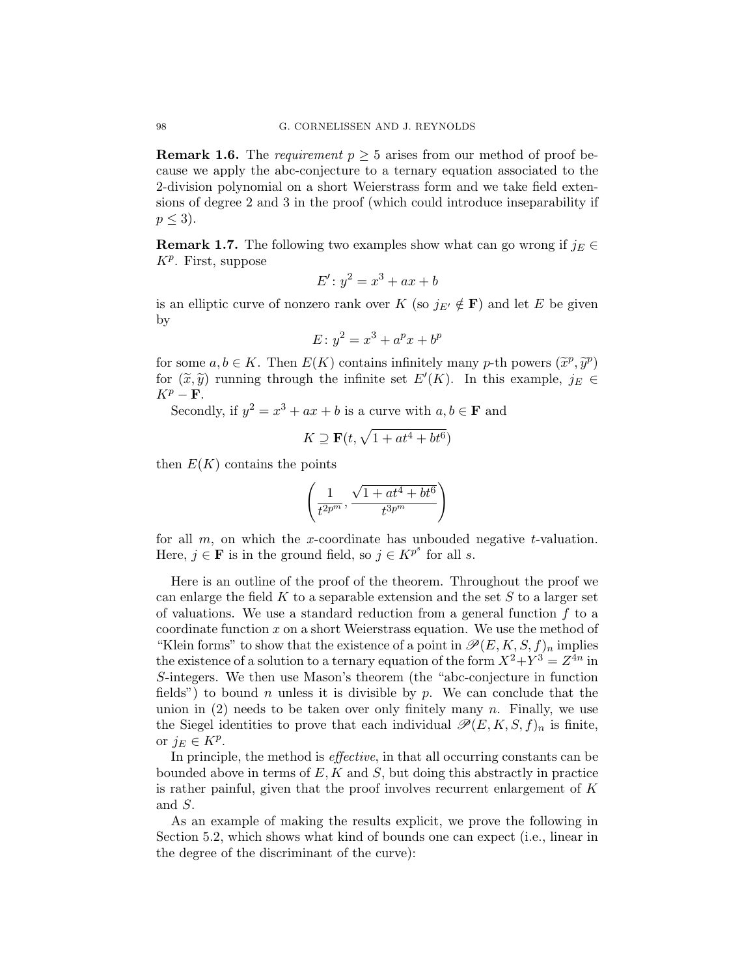**Remark 1.6.** The *requirement*  $p \geq 5$  arises from our method of proof because we apply the abc-conjecture to a ternary equation associated to the 2-division polynomial on a short Weierstrass form and we take field extensions of degree 2 and 3 in the proof (which could introduce inseparability if  $p \leq 3$ ).

**Remark 1.7.** The following two examples show what can go wrong if  $j_E \in \mathbb{R}$  $K^p$ . First, suppose

$$
E': y^2 = x^3 + ax + b
$$

is an elliptic curve of nonzero rank over K (so  $j_{E'} \notin \mathbf{F}$ ) and let E be given by

$$
E: y^2 = x^3 + a^p x + b^p
$$

for some  $a, b \in K$ . Then  $E(K)$  contains infinitely many p-th powers  $(\tilde{x}^p, \tilde{y}^p)$ <br>for  $(\tilde{x}, \tilde{y})$  running through the infinite set  $F'(K)$ . In this example,  $\tilde{y} \in \tilde{G}$ for  $(\tilde{x}, \tilde{y})$  running through the infinite set  $E'(K)$ . In this example,  $j_E \in$ <br> $\mathbf{F}'$  $K^p - F$ .

Secondly, if  $y^2 = x^3 + ax + b$  is a curve with  $a, b \in \mathbf{F}$  and

$$
K\supseteq \mathbf{F}(t,\sqrt{1+at^4+bt^6})
$$

then  $E(K)$  contains the points

$$
\left(\frac{1}{t^{2p^m}}, \frac{\sqrt{1 + at^4 + bt^6}}{t^{3p^m}}\right)
$$

for all  $m$ , on which the x-coordinate has unbouded negative t-valuation. Here,  $j \in \mathbf{F}$  is in the ground field, so  $j \in K^{p^s}$  for all s.

Here is an outline of the proof of the theorem. Throughout the proof we can enlarge the field  $K$  to a separable extension and the set  $S$  to a larger set of valuations. We use a standard reduction from a general function  $f$  to a coordinate function  $x$  on a short Weierstrass equation. We use the method of "Klein forms" to show that the existence of a point in  $\mathscr{P}(E, K, S, f)_n$  implies the existence of a solution to a ternary equation of the form  $X^2 + Y^3 = Z^{4n}$  in S-integers. We then use Mason's theorem (the "abc-conjecture in function fields") to bound n unless it is divisible by p. We can conclude that the union in  $(2)$  needs to be taken over only finitely many n. Finally, we use the Siegel identities to prove that each individual  $\mathscr{P}(E, K, S, f)_n$  is finite, or  $j_E \in K^p$ .

In principle, the method is effective, in that all occurring constants can be bounded above in terms of  $E, K$  and  $S$ , but doing this abstractly in practice is rather painful, given that the proof involves recurrent enlargement of  $K$ and S.

As an example of making the results explicit, we prove the following in Section [5.2,](#page-14-0) which shows what kind of bounds one can expect (i.e., linear in the degree of the discriminant of the curve):

<span id="page-3-0"></span>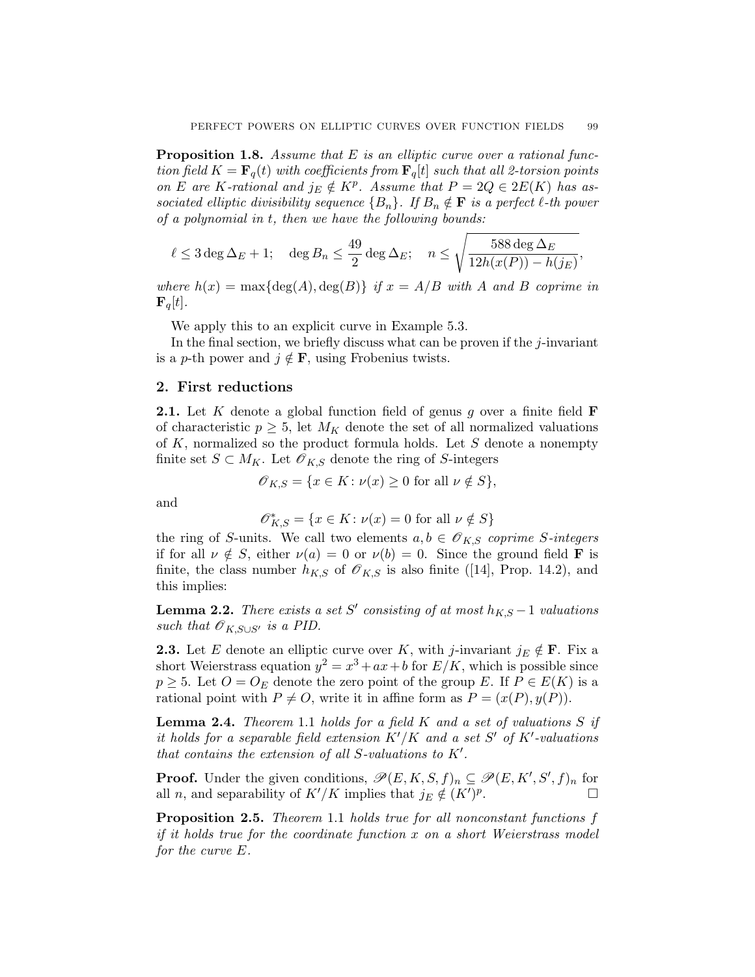<span id="page-4-0"></span>**Proposition 1.8.** Assume that  $E$  is an elliptic curve over a rational function field  $K = \mathbf{F}_q(t)$  with coefficients from  $\mathbf{F}_q[t]$  such that all 2-torsion points on E are K-rational and  $j_E \notin K^p$ . Assume that  $P = 2Q \in 2E(K)$  has associated elliptic divisibility sequence  ${B_n}$ . If  $B_n \notin \mathbf{F}$  is a perfect  $\ell$ -th power of a polynomial in t, then we have the following bounds:

$$
\ell \leq 3 \deg \Delta_E + 1; \quad \deg B_n \leq \frac{49}{2} \deg \Delta_E; \quad n \leq \sqrt{\frac{588 \deg \Delta_E}{12h(x(P)) - h(j_E)}},
$$

where  $h(x) = \max\{\deg(A), \deg(B)\}\$  if  $x = A/B$  with A and B coprime in  ${\bf F}_q[t]$ .

We apply this to an explicit curve in Example [5.3.](#page-16-0)

In the final section, we briefly discuss what can be proven if the  $j$ -invariant is a p-th power and  $j \notin F$ , using Frobenius twists.

#### 2. First reductions

**2.1.** Let K denote a global function field of genus g over a finite field  $\mathbf{F}$ of characteristic  $p \geq 5$ , let  $M_K$  denote the set of all normalized valuations of  $K$ , normalized so the product formula holds. Let  $S$  denote a nonempty finite set  $S \subset M_K$ . Let  $\mathscr{O}_{K,S}$  denote the ring of S-integers

$$
\mathscr{O}_{K,S} = \{ x \in K \colon \nu(x) \ge 0 \text{ for all } \nu \notin S \},
$$

and

$$
\mathscr{O}_{K,S}^{*}=\{x\in K\colon\nu(x)=0\text{ for all }\nu\notin S\}
$$

the ring of S-units. We call two elements  $a, b \in \mathcal{O}_{K,S}$  coprime S-integers if for all  $\nu \notin S$ , either  $\nu(a) = 0$  or  $\nu(b) = 0$ . Since the ground field **F** is finite, the class number  $h_{K,S}$  of  $\mathscr{O}_{K,S}$  is also finite ([\[14\]](#page-18-0), Prop. 14.2), and this implies:

**Lemma 2.2.** There exists a set S' consisting of at most  $h_{K,S} - 1$  valuations such that  $\mathscr{O}_{K,S\cup S'}$  is a PID.

**2.3.** Let E denote an elliptic curve over K, with j-invariant  $j_E \notin \mathbf{F}$ . Fix a short Weierstrass equation  $y^2 = x^3 + ax + b$  for  $E/K$ , which is possible since  $p \geq 5$ . Let  $O = O_E$  denote the zero point of the group E. If  $P \in E(K)$  is a rational point with  $P \neq O$ , write it in affine form as  $P = (x(P), y(P)).$ 

**Lemma 2.4.** Theorem [1.1](#page-1-0) holds for a field  $K$  and a set of valuations  $S$  if it holds for a separable field extension  $K'/K$  and a set S' of  $K'$ -valuations that contains the extension of all S-valuations to  $K'$ .

**Proof.** Under the given conditions,  $\mathscr{P}(E, K, S, f)_n \subseteq \mathscr{P}(E, K', S', f)_n$  for all n, and separability of  $K'/K$  implies that  $j_E \notin (K')^p$ .

Proposition 2.5. Theorem [1.1](#page-1-0) holds true for all nonconstant functions f if it holds true for the coordinate function  $x$  on a short Weierstrass model for the curve E.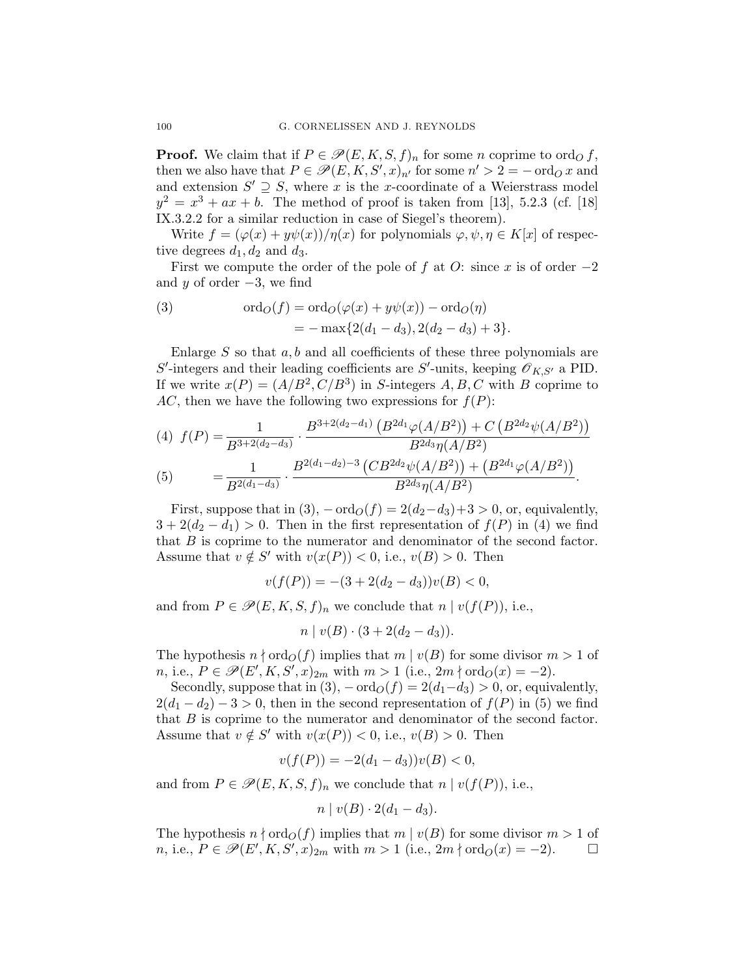**Proof.** We claim that if  $P \in \mathcal{P}(E, K, S, f)_n$  for some n coprime to ord<sub>O</sub> f, then we also have that  $P \in \mathscr{P}(E, K, S', x)_{n'}$  for some  $n' > 2 = -\text{ord}_Q x$  and and extension  $S' \supseteq S$ , where x is the x-coordinate of a Weierstrass model  $y^2 = x^3 + ax + b$ . The method of proof is taken from [\[13\]](#page-18-0), 5.2.3 (cf. [\[18\]](#page-18-0) IX.3.2.2 for a similar reduction in case of Siegel's theorem).

Write  $f = (\varphi(x) + y\psi(x))/\eta(x)$  for polynomials  $\varphi, \psi, \eta \in K[x]$  of respective degrees  $d_1, d_2$  and  $d_3$ .

First we compute the order of the pole of f at O: since x is of order  $-2$ and y of order  $-3$ , we find

(3) 
$$
\text{ord}_O(f) = \text{ord}_O(\varphi(x) + y\psi(x)) - \text{ord}_O(\eta)
$$

$$
= -\max\{2(d_1 - d_3), 2(d_2 - d_3) + 3\}.
$$

Enlarge  $S$  so that  $a, b$  and all coefficients of these three polynomials are  $S'$ -integers and their leading coefficients are  $S'$ -units, keeping  $\mathscr{O}_{K,S'}$  a PID. If we write  $x(P) = (A/B^2, C/B^3)$  in S-integers A, B, C with B coprime to AC, then we have the following two expressions for  $f(P)$ :

$$
(4) f(P) = \frac{1}{B^{3+2(d_2-d_3)}} \cdot \frac{B^{3+2(d_2-d_1)} (B^{2d_1} \varphi(A/B^2)) + C (B^{2d_2} \psi(A/B^2))}{B^{2d_3} \eta(A/B^2)}
$$
  

$$
(5) = \frac{1}{B^{2(d_1-d_3)}} \cdot \frac{B^{2(d_1-d_2)-3} (CB^{2d_2} \psi(A/B^2)) + (B^{2d_1} \varphi(A/B^2))}{B^{2d_3} \eta(A/B^2)}.
$$

First, suppose that in  $(3)$ ,  $-\text{ord}_O(f) = 2(d_2-d_3)+3 > 0$ , or, equivalently,  $3+2(d_2-d_1) > 0$ . Then in the first representation of  $f(P)$  in (4) we find that B is coprime to the numerator and denominator of the second factor. Assume that  $v \notin S'$  with  $v(x(P)) < 0$ , i.e.,  $v(B) > 0$ . Then

$$
v(f(P)) = -(3 + 2(d_2 - d_3))v(B) < 0,
$$

and from  $P \in \mathcal{P}(E, K, S, f)_n$  we conclude that  $n | v(f(P))$ , i.e.,

$$
n \mid v(B) \cdot (3 + 2(d_2 - d_3)).
$$

The hypothesis  $n \nmid \text{ord}_O(f)$  implies that  $m \mid v(B)$  for some divisor  $m > 1$  of *n*, i.e.,  $P \in \mathscr{P}(E', K, S', x)_{2m}$  with  $m > 1$  (i.e.,  $2m \nmid \text{ord}_O(x) = -2$ ).

Secondly, suppose that in  $(3)$ ,  $-\text{ord}_O(f) = 2(d_1-d_3) > 0$ , or, equivalently,  $2(d_1 - d_2) - 3 > 0$ , then in the second representation of  $f(P)$  in (5) we find that B is coprime to the numerator and denominator of the second factor. Assume that  $v \notin S'$  with  $v(x(P)) < 0$ , i.e.,  $v(B) > 0$ . Then

$$
v(f(P)) = -2(d_1 - d_3)v(B) < 0,
$$

and from  $P \in \mathscr{P}(E, K, S, f)_n$  we conclude that  $n | v(f(P))$ , i.e.,

$$
n \mid v(B) \cdot 2(d_1 - d_3).
$$

The hypothesis  $n \nmid \text{ord}_O(f)$  implies that  $m \mid v(B)$  for some divisor  $m > 1$  of *n*, i.e.,  $P \in \mathcal{P}(E', K, S', x)_{2m}$  with  $m > 1$  (i.e.,  $2m \nmid \text{ord}_O(x) = -2$ ).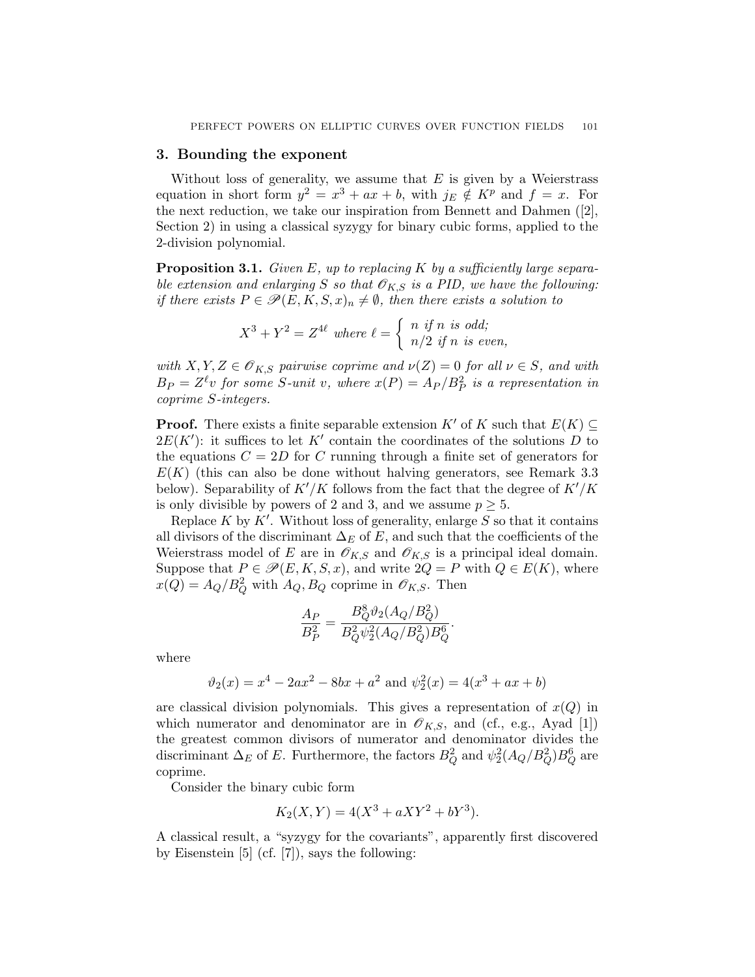#### <span id="page-6-0"></span>3. Bounding the exponent

Without loss of generality, we assume that  $E$  is given by a Weierstrass equation in short form  $y^2 = x^3 + ax + b$ , with  $j_E \notin K^p$  and  $f = x$ . For the next reduction, we take our inspiration from Bennett and Dahmen ([\[2\]](#page-17-0), Section 2) in using a classical syzygy for binary cubic forms, applied to the 2-division polynomial.

**Proposition 3.1.** Given E, up to replacing K by a sufficiently large separable extension and enlarging S so that  $\mathscr{O}_{K,S}$  is a PID, we have the following: if there exists  $P \in \mathscr{P}(E, K, S, x)_n \neq \emptyset$ , then there exists a solution to

$$
X^3 + Y^2 = Z^{4\ell} \text{ where } \ell = \begin{cases} n \text{ if } n \text{ is odd;} \\ n/2 \text{ if } n \text{ is even,} \end{cases}
$$

with  $X, Y, Z \in \mathscr{O}_{K, S}$  pairwise coprime and  $\nu(Z) = 0$  for all  $\nu \in S$ , and with  $B_P = Z^{\ell}v$  for some S-unit v, where  $x(P) = A_P/B_P^2$  is a representation in coprime S-integers.

**Proof.** There exists a finite separable extension K' of K such that  $E(K) \subset$  $2E(K')$ : it suffices to let K' contain the coordinates of the solutions D to the equations  $C = 2D$  for C running through a finite set of generators for  $E(K)$  (this can also be done without halving generators, see Remark [3.3](#page-8-0) below). Separability of  $K'/K$  follows from the fact that the degree of  $K'/K$ is only divisible by powers of 2 and 3, and we assume  $p \geq 5$ .

Replace  $K$  by  $K'$ . Without loss of generality, enlarge  $S$  so that it contains all divisors of the discriminant  $\Delta_E$  of E, and such that the coefficients of the Weierstrass model of E are in  $\mathscr{O}_{K,S}$  and  $\mathscr{O}_{K,S}$  is a principal ideal domain. Suppose that  $P \in \mathcal{P}(E, K, S, x)$ , and write  $2Q = P$  with  $Q \in E(K)$ , where  $x(Q) = A_Q/B_Q^2$  with  $A_Q, B_Q$  coprime in  $\mathscr{O}_{K,S}$ . Then

$$
\frac{A_P}{B_P^2} = \frac{B_Q^8 \vartheta_2 (A_Q / B_Q^2)}{B_Q^2 \psi_2^2 (A_Q / B_Q^2) B_Q^6}.
$$

where

$$
\vartheta_2(x) = x^4 - 2ax^2 - 8bx + a^2
$$
 and  $\psi_2^2(x) = 4(x^3 + ax + b)$ 

are classical division polynomials. This gives a representation of  $x(Q)$  in which numerator and denominator are in  $\mathscr{O}_{K,S}$ , and (cf., e.g., Ayad [\[1\]](#page-17-0)) the greatest common divisors of numerator and denominator divides the discriminant  $\Delta_E$  of E. Furthermore, the factors  $B_Q^2$  and  $\psi_2^2(A_Q/B_Q^2)B_Q^6$  are coprime.

Consider the binary cubic form

$$
K_2(X, Y) = 4(X^3 + aXY^2 + bY^3).
$$

A classical result, a "syzygy for the covariants", apparently first discovered by Eisenstein [\[5\]](#page-17-0) (cf. [\[7\]](#page-17-0)), says the following: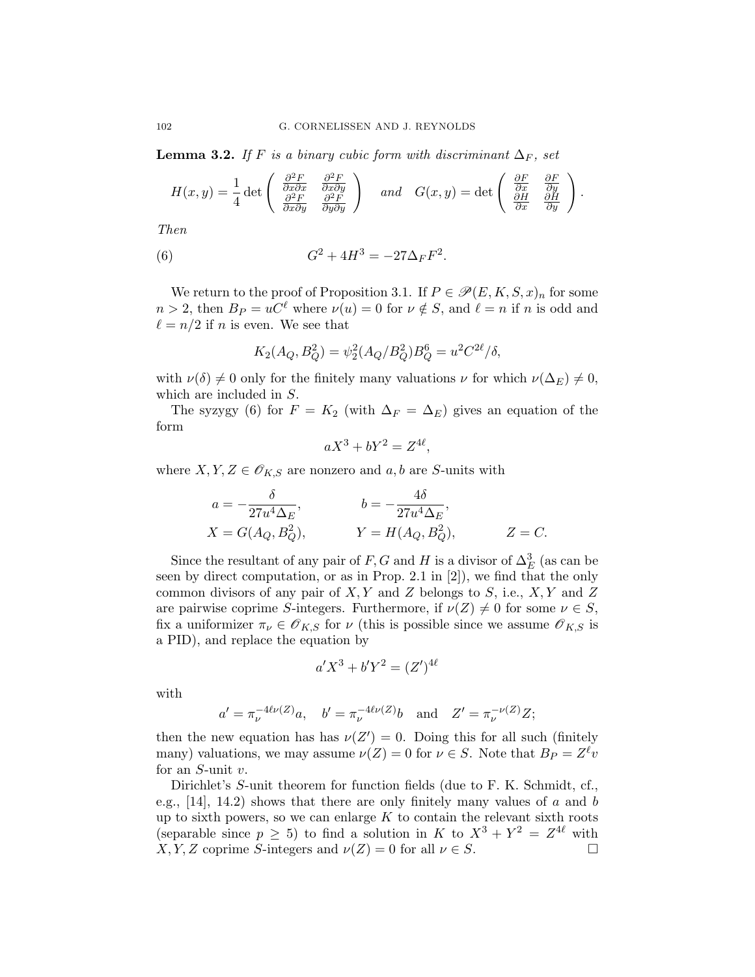**Lemma 3.2.** If F is a binary cubic form with discriminant  $\Delta_F$ , set

$$
H(x,y) = \frac{1}{4} \det \begin{pmatrix} \frac{\partial^2 F}{\partial x \partial x} & \frac{\partial^2 F}{\partial x \partial y} \\ \frac{\partial^2 F}{\partial x \partial y} & \frac{\partial^2 F}{\partial y \partial y} \end{pmatrix} \text{ and } G(x,y) = \det \begin{pmatrix} \frac{\partial F}{\partial x} & \frac{\partial F}{\partial y} \\ \frac{\partial H}{\partial x} & \frac{\partial H}{\partial y} \end{pmatrix}.
$$

Then

(6) 
$$
G^2 + 4H^3 = -27\Delta_F F^2.
$$

We return to the proof of Proposition [3.1.](#page-6-0) If  $P \in \mathscr{P}(E, K, S, x)_n$  for some  $n > 2$ , then  $B_P = uC^{\ell}$  where  $\nu(u) = 0$  for  $\nu \notin S$ , and  $\ell = n$  if n is odd and  $\ell = n/2$  if n is even. We see that

$$
K_2(A_Q, B_Q^2) = \psi_2^2(A_Q/B_Q^2)B_Q^6 = u^2 C^{2\ell}/\delta,
$$

with  $\nu(\delta) \neq 0$  only for the finitely many valuations  $\nu$  for which  $\nu(\Delta_E) \neq 0$ , which are included in S.

The syzygy (6) for  $F = K_2$  (with  $\Delta_F = \Delta_E$ ) gives an equation of the form

$$
aX^3 + bY^2 = Z^{4\ell},
$$

where  $X, Y, Z \in \mathcal{O}_{K, S}$  are nonzero and  $a, b$  are S-units with

$$
a = -\frac{\delta}{27u^4\Delta_E}, \qquad b = -\frac{4\delta}{27u^4\Delta_E},
$$
  
\n
$$
X = G(A_Q, B_Q^2), \qquad Y = H(A_Q, B_Q^2), \qquad Z = C.
$$

Since the resultant of any pair of F, G and H is a divisor of  $\Delta_E^3$  (as can be seen by direct computation, or as in Prop. 2.1 in [\[2\]](#page-17-0)), we find that the only common divisors of any pair of  $X, Y$  and  $Z$  belongs to  $S$ , i.e.,  $X, Y$  and  $Z$ are pairwise coprime S-integers. Furthermore, if  $\nu(Z) \neq 0$  for some  $\nu \in S$ , fix a uniformizer  $\pi_{\nu} \in \mathscr{O}_{K,S}$  for  $\nu$  (this is possible since we assume  $\mathscr{O}_{K,S}$  is a PID), and replace the equation by

$$
a'X^3 + b'Y^2 = (Z')^{4\ell}
$$

with

$$
a' = \pi_{\nu}^{-4\ell\nu(Z)}a
$$
,  $b' = \pi_{\nu}^{-4\ell\nu(Z)}b$  and  $Z' = \pi_{\nu}^{-\nu(Z)}Z$ ;

then the new equation has has  $\nu(Z') = 0$ . Doing this for all such (finitely many) valuations, we may assume  $\nu(Z) = 0$  for  $\nu \in S$ . Note that  $B_P = Z^{\ell} v$ for an  $S$ -unit  $v$ .

Dirichlet's S-unit theorem for function fields (due to F. K. Schmidt, cf., e.g.,  $[14]$ ,  $[14.2]$  shows that there are only finitely many values of a and b up to sixth powers, so we can enlarge  $K$  to contain the relevant sixth roots (separable since  $p \geq 5$ ) to find a solution in K to  $X^3 + Y^2 = Z^{4\ell}$  with  $X, Y, Z$  coprime S-integers and  $\nu(Z) = 0$  for all  $\nu \in S$ .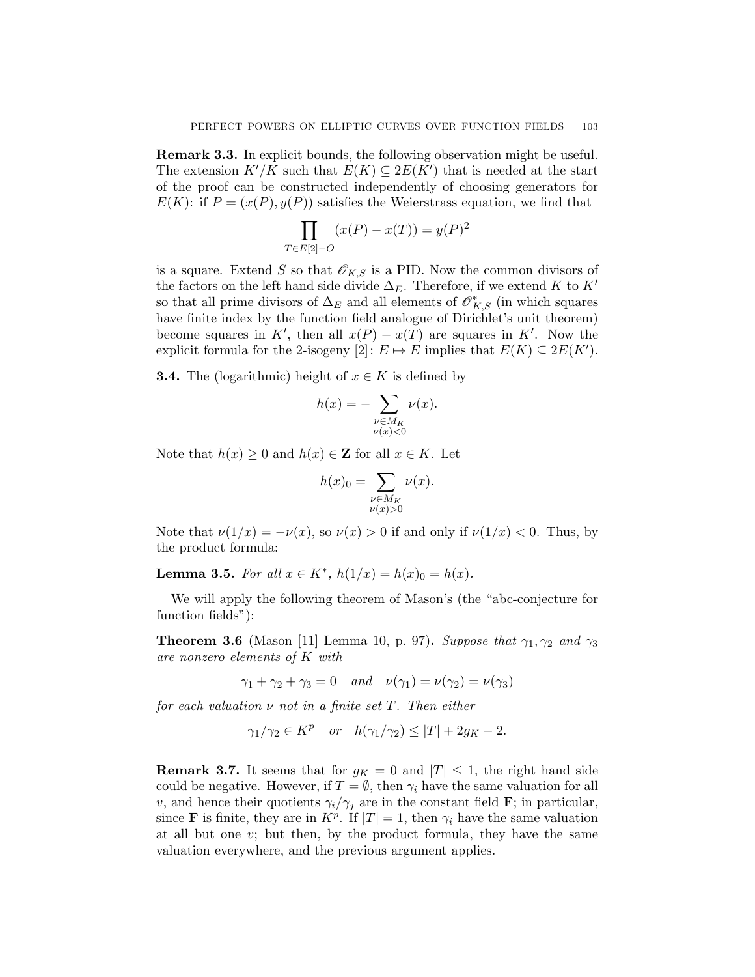<span id="page-8-0"></span>Remark 3.3. In explicit bounds, the following observation might be useful. The extension  $K'/K$  such that  $E(K) \subseteq 2E(K')$  that is needed at the start of the proof can be constructed independently of choosing generators for  $E(K)$ : if  $P = (x(P), y(P))$  satisfies the Weierstrass equation, we find that

$$
\prod_{T \in E[2]-O} (x(P) - x(T)) = y(P)^2
$$

is a square. Extend S so that  $\mathscr{O}_{K,S}$  is a PID. Now the common divisors of the factors on the left hand side divide  $\Delta_E$ . Therefore, if we extend K to K' so that all prime divisors of  $\Delta_E$  and all elements of  $\mathscr{O}_{K,S}^*$  (in which squares have finite index by the function field analogue of Dirichlet's unit theorem) become squares in K', then all  $x(P) - x(T)$  are squares in K'. Now the explicit formula for the 2-isogeny  $[2]: E \mapsto E$  implies that  $E(K) \subseteq 2E(K')$ .

**3.4.** The (logarithmic) height of  $x \in K$  is defined by

$$
h(x) = -\sum_{\substack{\nu \in M_K \\ \nu(x) < 0}} \nu(x).
$$

Note that  $h(x) \geq 0$  and  $h(x) \in \mathbb{Z}$  for all  $x \in K$ . Let

$$
h(x)_0 = \sum_{\substack{\nu \in M_K \\ \nu(x) > 0}} \nu(x).
$$

Note that  $\nu(1/x) = -\nu(x)$ , so  $\nu(x) > 0$  if and only if  $\nu(1/x) < 0$ . Thus, by the product formula:

Lemma 3.5. For all  $x \in K^*$ ,  $h(1/x) = h(x)_0 = h(x)$ .

We will apply the following theorem of Mason's (the "abc-conjecture for function fields"):

**Theorem 3.6** (Mason [\[11\]](#page-18-0) Lemma 10, p. 97). Suppose that  $\gamma_1, \gamma_2$  and  $\gamma_3$ are nonzero elements of K with

$$
\gamma_1 + \gamma_2 + \gamma_3 = 0 \quad and \quad \nu(\gamma_1) = \nu(\gamma_2) = \nu(\gamma_3)
$$

for each valuation  $\nu$  not in a finite set T. Then either

$$
\gamma_1/\gamma_2 \in K^p \quad or \quad h(\gamma_1/\gamma_2) \le |T| + 2g_K - 2.
$$

**Remark 3.7.** It seems that for  $g_K = 0$  and  $|T| \leq 1$ , the right hand side could be negative. However, if  $T = \emptyset$ , then  $\gamma_i$  have the same valuation for all v, and hence their quotients  $\gamma_i/\gamma_j$  are in the constant field **F**; in particular, since **F** is finite, they are in  $K^p$ . If  $|T| = 1$ , then  $\gamma_i$  have the same valuation at all but one  $v$ ; but then, by the product formula, they have the same valuation everywhere, and the previous argument applies.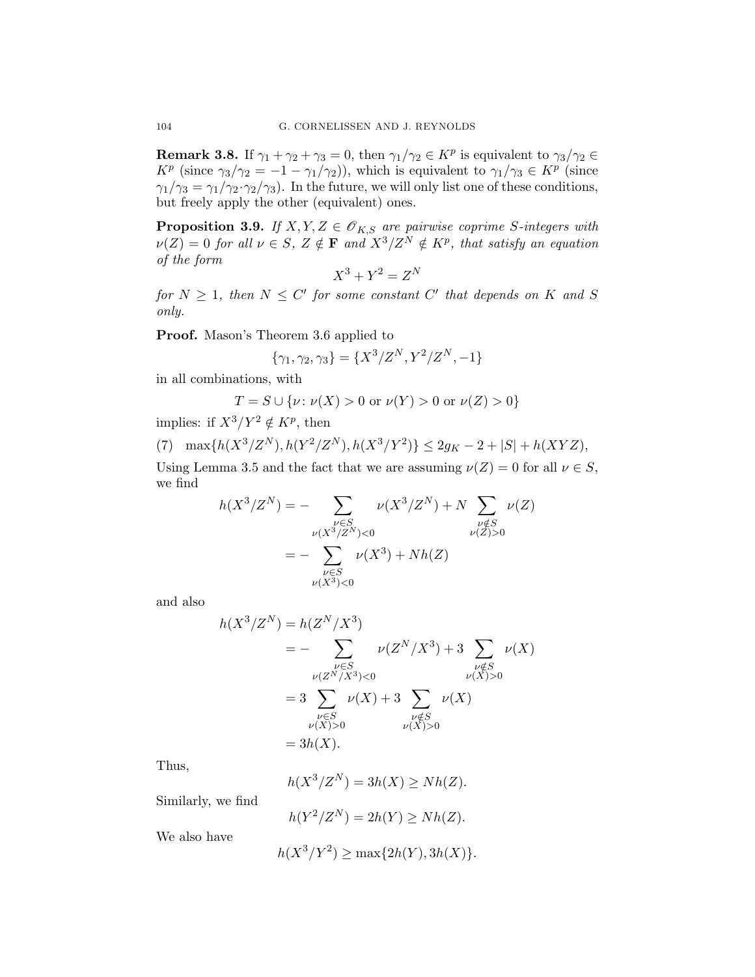**Remark 3.8.** If  $\gamma_1 + \gamma_2 + \gamma_3 = 0$ , then  $\gamma_1/\gamma_2 \in K^p$  is equivalent to  $\gamma_3/\gamma_2 \in$  $K^p$  (since  $\gamma_3/\gamma_2 = -1 - \gamma_1/\gamma_2$ ), which is equivalent to  $\gamma_1/\gamma_3 \in K^p$  (since  $\gamma_1/\gamma_3 = \gamma_1/\gamma_2 \cdot \gamma_2/\gamma_3$ . In the future, we will only list one of these conditions, but freely apply the other (equivalent) ones.

**Proposition 3.9.** If  $X, Y, Z \in \mathcal{O}_{K, S}$  are pairwise coprime S-integers with  $\nu(Z) = 0$  for all  $\nu \in S$ ,  $Z \notin \mathbf{F}$  and  $X^3/Z^N \notin K^p$ , that satisfy an equation of the form

$$
X^3 + Y^2 = Z^N
$$

for  $N \geq 1$ , then  $N \leq C'$  for some constant C' that depends on K and S only.

Proof. Mason's Theorem [3.6](#page-8-0) applied to

$$
\{\gamma_1, \gamma_2, \gamma_3\} = \{X^3/Z^N, Y^2/Z^N, -1\}
$$

in all combinations, with

$$
T = S \cup \{ \nu \colon \nu(X) > 0 \text{ or } \nu(Y) > 0 \text{ or } \nu(Z) > 0 \}
$$

implies: if  $X^3/Y^2 \notin K^p$ , then

(7) 
$$
\max\{h(X^3/Z^N), h(Y^2/Z^N), h(X^3/Y^2)\} \le 2g_K - 2 + |S| + h(XYZ),
$$

Using Lemma [3.5](#page-8-0) and the fact that we are assuming  $\nu(Z) = 0$  for all  $\nu \in S$ , we find

$$
h(X^3/Z^N) = -\sum_{\substack{\nu \in S \\ \nu(X^3/Z^N) < 0}} \nu(X^3/Z^N) + N \sum_{\substack{\nu \notin S \\ \nu(Z) > 0}} \nu(Z) \\
= -\sum_{\substack{\nu \in S \\ \nu(X^3) < 0}} \nu(X^3) + Nh(Z)
$$

and also

$$
h(X^{3}/Z^{N}) = h(Z^{N}/X^{3})
$$
  
= - 
$$
\sum_{\substack{\nu \in S \\ \nu(Z^{N}/X^{3}) < 0}} \nu(Z^{N}/X^{3}) + 3 \sum_{\substack{\nu \notin S \\ \nu(X) > 0}} \nu(X)
$$
  
= 3 
$$
\sum_{\substack{\nu \in S \\ \nu(X) > 0}} \nu(X) + 3 \sum_{\substack{\nu \notin S \\ \nu(X) > 0}} \nu(X)
$$
  
= 3h(X).

Thus,

$$
h(X^3/Z^N) = 3h(X) \geq Nh(Z).
$$

Similarly, we find

$$
h(Y^2/Z^N) = 2h(Y) \geq Nh(Z).
$$

We also have

$$
h(X^3/Y^2) \ge \max\{2h(Y), 3h(X)\}.
$$

<span id="page-9-0"></span>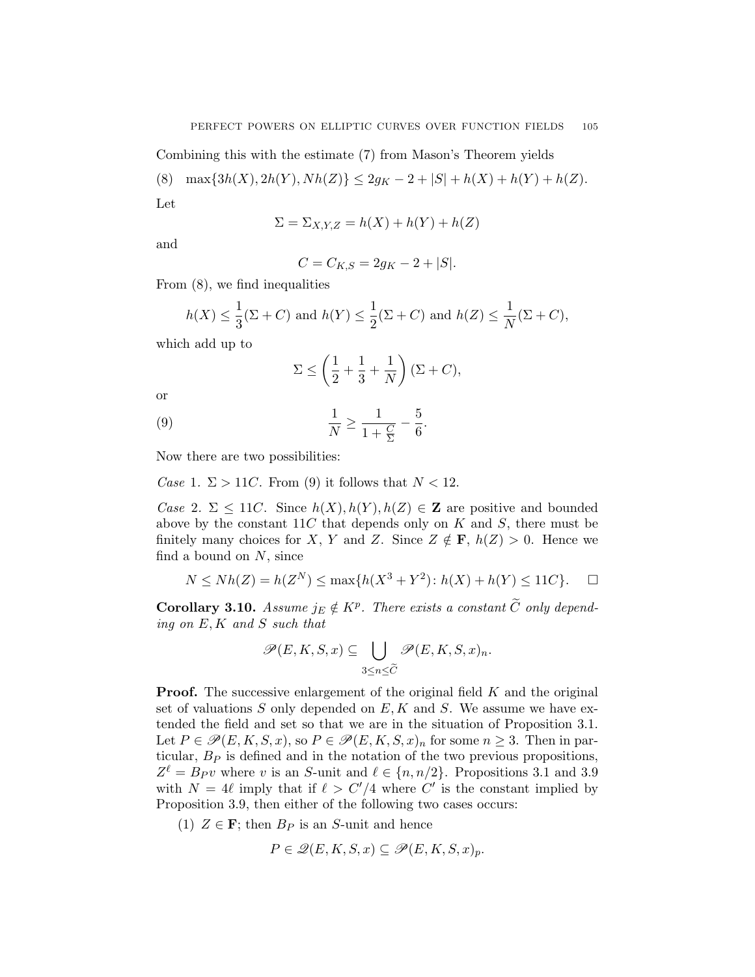<span id="page-10-0"></span>Combining this with the estimate [\(7\)](#page-9-0) from Mason's Theorem yields

(8)  $\max\{3h(X), 2h(Y), Nh(Z)\}\leq 2g_K-2+|S|+h(X)+h(Y)+h(Z).$ 

Let

$$
\Sigma = \Sigma_{X,Y,Z} = h(X) + h(Y) + h(Z)
$$

and

$$
C = C_{K,S} = 2g_K - 2 + |S|.
$$

From (8), we find inequalities

$$
h(X) \le \frac{1}{3}(\Sigma + C) \text{ and } h(Y) \le \frac{1}{2}(\Sigma + C) \text{ and } h(Z) \le \frac{1}{N}(\Sigma + C),
$$

which add up to

$$
\Sigma \le \left(\frac{1}{2} + \frac{1}{3} + \frac{1}{N}\right)(\Sigma + C),
$$

or

(9) 
$$
\frac{1}{N} \ge \frac{1}{1 + \frac{C}{\Sigma}} - \frac{5}{6}.
$$

Now there are two possibilities:

Case 1.  $\Sigma > 11C$ . From (9) it follows that  $N < 12$ .

Case 2.  $\Sigma \leq 11C$ . Since  $h(X), h(Y), h(Z) \in \mathbb{Z}$  are positive and bounded above by the constant  $11C$  that depends only on K and S, there must be finitely many choices for X, Y and Z. Since  $Z \notin \mathbf{F}$ ,  $h(Z) > 0$ . Hence we find a bound on  $N$ , since

$$
N \le Nh(Z) = h(Z^N) \le \max\{h(X^3 + Y^2) : h(X) + h(Y) \le 11C\}.
$$

**Corollary 3.10.** Assume  $j_E \notin K^p$ . There exists a constant  $\widetilde{C}$  only depending on E, K and S such that

$$
\mathscr{P}(E,K,S,x) \subseteq \bigcup_{3 \leq n \leq \widetilde{C}} \mathscr{P}(E,K,S,x)_n.
$$

**Proof.** The successive enlargement of the original field K and the original set of valuations  $S$  only depended on  $E, K$  and  $S$ . We assume we have extended the field and set so that we are in the situation of Proposition [3.1.](#page-6-0) Let  $P \in \mathscr{P}(E, K, S, x)$ , so  $P \in \mathscr{P}(E, K, S, x)_n$  for some  $n \geq 3$ . Then in particular,  $B<sub>P</sub>$  is defined and in the notation of the two previous propositions,  $Z^{\ell} = B_P v$  where v is an S-unit and  $\ell \in \{n, n/2\}$ . Propositions [3.1](#page-6-0) and [3.9](#page-9-0) with  $N = 4\ell$  imply that if  $\ell > C'/4$  where C' is the constant implied by Proposition [3.9,](#page-9-0) then either of the following two cases occurs:

(1)  $Z \in \mathbf{F}$ ; then  $B_P$  is an S-unit and hence

$$
P \in \mathcal{Q}(E, K, S, x) \subseteq \mathcal{P}(E, K, S, x)_p.
$$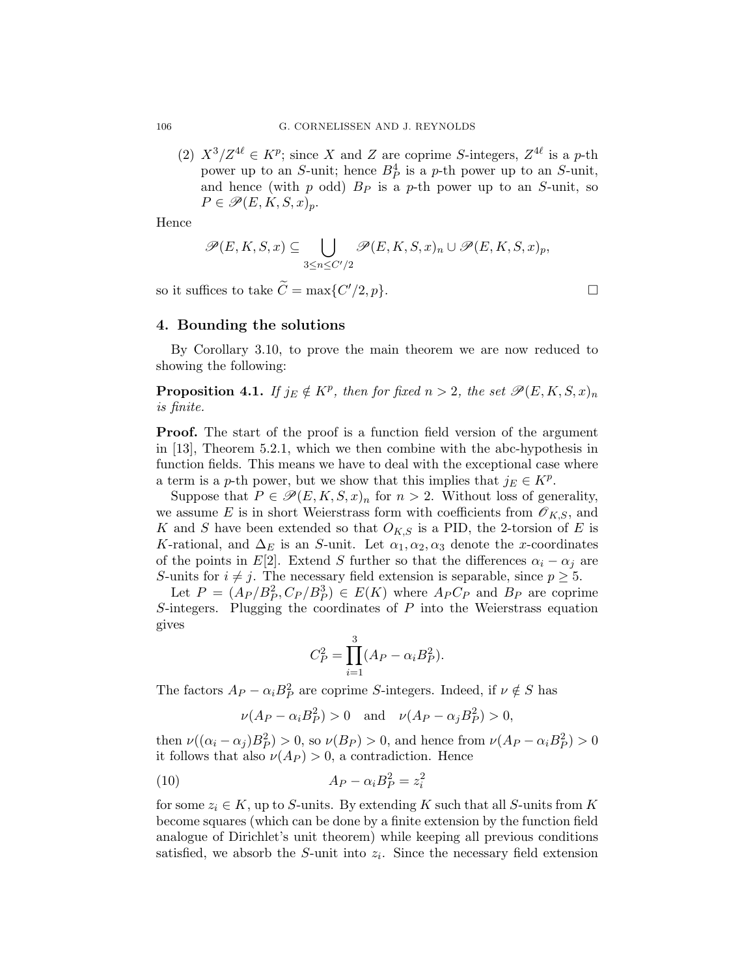(2)  $X^3/Z^{4\ell} \in K^p$ ; since X and Z are coprime S-integers,  $Z^{4\ell}$  is a p-th power up to an S-unit; hence  $B_P^4$  is a p-th power up to an S-unit, and hence (with  $p$  odd)  $B<sub>P</sub>$  is a  $p$ -th power up to an  $S$ -unit, so  $P \in \mathscr{P}(E, K, S, x)_p.$ 

Hence

$$
\mathscr{P}(E, K, S, x) \subseteq \bigcup_{3 \leq n \leq C'/2} \mathscr{P}(E, K, S, x)_n \cup \mathscr{P}(E, K, S, x)_p,
$$

so it suffices to take  $\widetilde{C} = \max\{C'/2, p\}.$ 

# 4. Bounding the solutions

By Corollary [3.10,](#page-10-0) to prove the main theorem we are now reduced to showing the following:

**Proposition 4.1.** If  $j_E \notin K^p$ , then for fixed  $n > 2$ , the set  $\mathscr{P}(E, K, S, x)_n$ is finite.

Proof. The start of the proof is a function field version of the argument in [\[13\]](#page-18-0), Theorem 5.2.1, which we then combine with the abc-hypothesis in function fields. This means we have to deal with the exceptional case where a term is a p-th power, but we show that this implies that  $j_E \in K^p$ .

Suppose that  $P \in \mathcal{P}(E, K, S, x)_n$  for  $n > 2$ . Without loss of generality, we assume E is in short Weierstrass form with coefficients from  $\mathscr{O}_{K,S}$ , and K and S have been extended so that  $O_{K,S}$  is a PID, the 2-torsion of E is K-rational, and  $\Delta_E$  is an S-unit. Let  $\alpha_1, \alpha_2, \alpha_3$  denote the x-coordinates of the points in E[2]. Extend S further so that the differences  $\alpha_i - \alpha_j$  are S-units for  $i \neq j$ . The necessary field extension is separable, since  $p \geq 5$ .

Let  $P = (A_P / B_P^2, C_P / B_P^3) \in E(K)$  where  $A_P C_P$  and  $B_P$  are coprime S-integers. Plugging the coordinates of  $P$  into the Weierstrass equation gives

$$
C_P^2 = \prod_{i=1}^3 (A_P - \alpha_i B_P^2).
$$

The factors  $A_P - \alpha_i B_P^2$  are coprime S-integers. Indeed, if  $\nu \notin S$  has

$$
\nu(A_P - \alpha_i B_P^2) > 0 \quad \text{and} \quad \nu(A_P - \alpha_j B_P^2) > 0,
$$

then  $\nu((\alpha_i - \alpha_j)B_P^2) > 0$ , so  $\nu(B_P) > 0$ , and hence from  $\nu(A_P - \alpha_i B_P^2) > 0$ it follows that also  $\nu(A_P) > 0$ , a contradiction. Hence

$$
(10) \qquad \qquad A_P - \alpha_i B_P^2 = z_i^2
$$

for some  $z_i \in K$ , up to S-units. By extending K such that all S-units from K become squares (which can be done by a finite extension by the function field analogue of Dirichlet's unit theorem) while keeping all previous conditions satisfied, we absorb the  $S$ -unit into  $z_i$ . Since the necessary field extension

<span id="page-11-0"></span>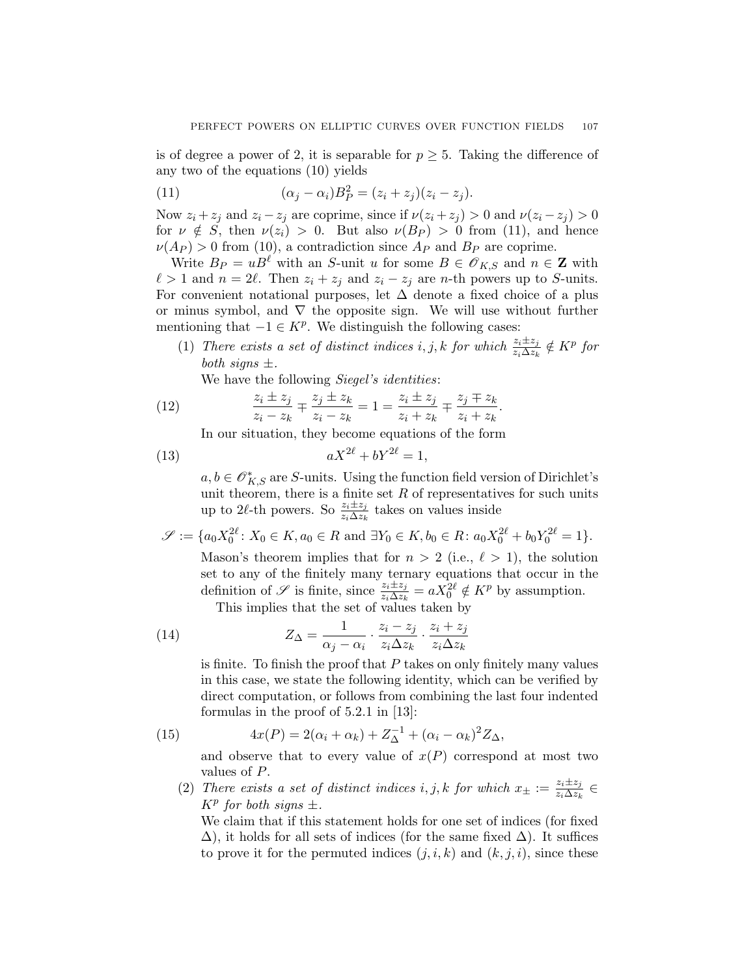<span id="page-12-0"></span>is of degree a power of 2, it is separable for  $p \geq 5$ . Taking the difference of any two of the equations [\(10\)](#page-11-0) yields

(11) 
$$
(\alpha_j - \alpha_i)B_P^2 = (z_i + z_j)(z_i - z_j).
$$

Now  $z_i + z_j$  and  $z_i - z_j$  are coprime, since if  $\nu(z_i + z_j) > 0$  and  $\nu(z_i - z_j) > 0$ for  $\nu \notin S$ , then  $\nu(z_i) > 0$ . But also  $\nu(B_P) > 0$  from (11), and hence  $\nu(A_P) > 0$  from [\(10\)](#page-11-0), a contradiction since  $A_P$  and  $B_P$  are coprime.

Write  $B_P = uB^{\ell}$  with an S-unit u for some  $B \in \mathscr{O}_{K,S}$  and  $n \in \mathbb{Z}$  with  $\ell > 1$  and  $n = 2\ell$ . Then  $z_i + z_j$  and  $z_i - z_j$  are n-th powers up to S-units. For convenient notational purposes, let  $\Delta$  denote a fixed choice of a plus or minus symbol, and  $\nabla$  the opposite sign. We will use without further mentioning that  $-1 \in K^p$ . We distinguish the following cases:

(1) There exists a set of distinct indices i, j, k for which  $\frac{z_i \pm z_j}{z_i \Delta z_k} \notin K^p$  for both signs  $\pm$ .

.

We have the following *Siegel's identities*:

(12) 
$$
\frac{z_i \pm z_j}{z_i - z_k} \mp \frac{z_j \pm z_k}{z_i - z_k} = 1 = \frac{z_i \pm z_j}{z_i + z_k} \mp \frac{z_j \mp z_k}{z_i + z_k}
$$

In our situation, they become equations of the form

$$
(13) \t\t aX^{2\ell} + bY^{2\ell} = 1,
$$

 $a, b \in \mathcal{O}_{K,S}^{*}$  are S-units. Using the function field version of Dirichlet's unit theorem, there is a finite set  $R$  of representatives for such units up to 2 $\ell$ -th powers. So  $\frac{z_i \pm z_j}{z_i \Delta z_k}$  takes on values inside

$$
\mathscr{S} := \{a_0 X_0^{2\ell} \colon X_0 \in K, a_0 \in R \text{ and } \exists Y_0 \in K, b_0 \in R \colon a_0 X_0^{2\ell} + b_0 Y_0^{2\ell} = 1\}.
$$

Mason's theorem implies that for  $n > 2$  (i.e.,  $\ell > 1$ ), the solution set to any of the finitely many ternary equations that occur in the definition of  $\mathscr S$  is finite, since  $\frac{z_i \pm z_j}{z_i \Delta z_k} = a \overline{X}_0^{2\ell} \notin K^p$  by assumption. This implies that the set of values taken by

(14) 
$$
Z_{\Delta} = \frac{1}{\alpha_j - \alpha_i} \cdot \frac{z_i - z_j}{z_i \Delta z_k} \cdot \frac{z_i + z_j}{z_i \Delta z_k}
$$

is finite. To finish the proof that  $P$  takes on only finitely many values in this case, we state the following identity, which can be verified by direct computation, or follows from combining the last four indented formulas in the proof of 5.2.1 in [\[13\]](#page-18-0):

(15) 
$$
4x(P) = 2(\alpha_i + \alpha_k) + Z_{\Delta}^{-1} + (\alpha_i - \alpha_k)^2 Z_{\Delta},
$$

and observe that to every value of  $x(P)$  correspond at most two values of P.

(2) There exists a set of distinct indices i, j, k for which  $x_{\pm} := \frac{z_i \pm z_j}{z_i \wedge z_k}$  $\frac{z_i \pm z_j}{z_i \Delta z_k} \in$  $K^p$  for both signs  $\pm$ .

We claim that if this statement holds for one set of indices (for fixed  $\Delta$ ), it holds for all sets of indices (for the same fixed  $\Delta$ ). It suffices to prove it for the permuted indices  $(j, i, k)$  and  $(k, j, i)$ , since these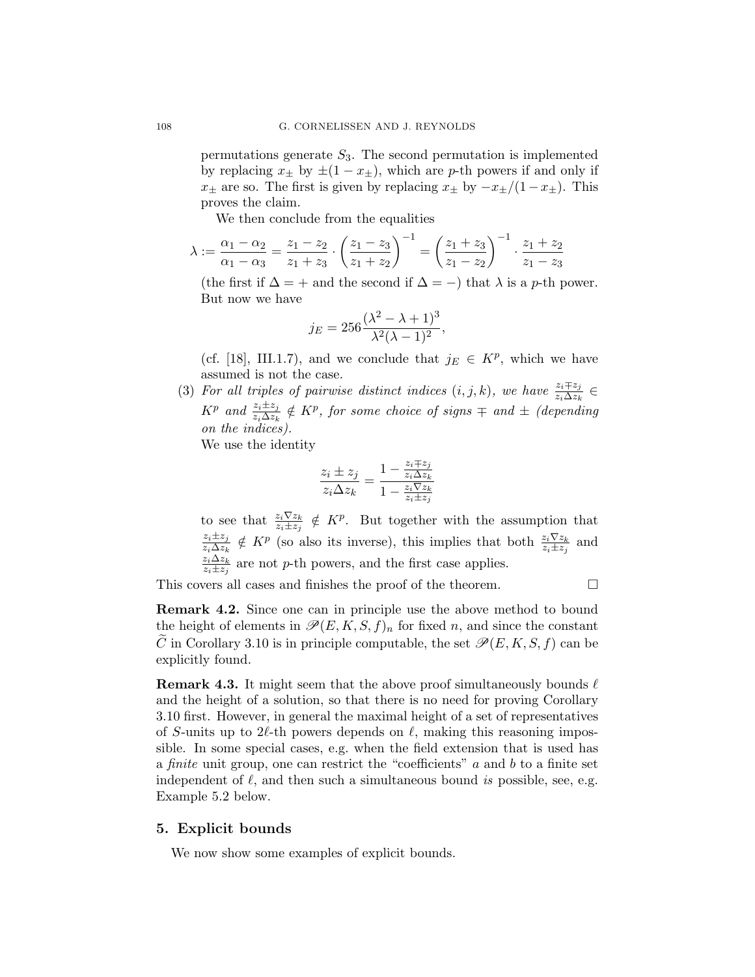permutations generate  $S_3$ . The second permutation is implemented by replacing  $x_{\pm}$  by  $\pm(1-x_{\pm})$ , which are p-th powers if and only if  $x_{\pm}$  are so. The first is given by replacing  $x_{\pm}$  by  $-x_{\pm}/(1-x_{\pm})$ . This proves the claim.

We then conclude from the equalities

$$
\lambda := \frac{\alpha_1 - \alpha_2}{\alpha_1 - \alpha_3} = \frac{z_1 - z_2}{z_1 + z_3} \cdot \left(\frac{z_1 - z_3}{z_1 + z_2}\right)^{-1} = \left(\frac{z_1 + z_3}{z_1 - z_2}\right)^{-1} \cdot \frac{z_1 + z_2}{z_1 - z_3}
$$

(the first if  $\Delta = +$  and the second if  $\Delta = -$ ) that  $\lambda$  is a p-th power. But now we have

$$
j_E = 256 \frac{(\lambda^2 - \lambda + 1)^3}{\lambda^2 (\lambda - 1)^2},
$$

(cf. [\[18\]](#page-18-0), III.1.7), and we conclude that  $j_E \in K^p$ , which we have assumed is not the case.

(3) For all triples of pairwise distinct indices  $(i, j, k)$ , we have  $\frac{z_i \mp z_j}{z_i \Delta z_k} \in$  $K^p$  and  $\frac{z_i \pm z_j}{z_i \Delta z_k} \notin K^p$ , for some choice of signs  $\mp$  and  $\pm$  (depending on the indices).

We use the identity

$$
\frac{z_i \pm z_j}{z_i \Delta z_k} = \frac{1 - \frac{z_i \mp z_j}{z_i \Delta z_k}}{1 - \frac{z_i \nabla z_k}{z_i \pm z_j}}
$$

to see that  $\frac{z_i\nabla z_k}{z_i\pm z_j} \notin K^p$ . But together with the assumption that  $z_i\pm z_j$  $\frac{z_i \pm z_j}{z_i \Delta z_k} \notin K^p$  (so also its inverse), this implies that both  $\frac{z_i \nabla z_k}{z_i \pm z_j}$  and  $z_i\Delta z_k$  $\frac{z_i \Delta z_k}{z_i \pm z_j}$  are not p-th powers, and the first case applies.

This covers all cases and finishes the proof of the theorem.

Remark 4.2. Since one can in principle use the above method to bound the height of elements in  $\mathscr{P}(E, K, S, f)_n$  for fixed n, and since the constant C in Corollary [3.10](#page-10-0) is in principle computable, the set  $\mathscr{P}(E, K, S, f)$  can be explicitly found.

**Remark 4.3.** It might seem that the above proof simultaneously bounds  $\ell$ and the height of a solution, so that there is no need for proving Corollary [3.10](#page-10-0) first. However, in general the maximal height of a set of representatives of S-units up to 2 $\ell$ -th powers depends on  $\ell$ , making this reasoning impossible. In some special cases, e.g. when the field extension that is used has a finite unit group, one can restrict the "coefficients" a and b to a finite set independent of  $\ell$ , and then such a simultaneous bound is possible, see, e.g. Example [5.2](#page-14-0) below.

### 5. Explicit bounds

We now show some examples of explicit bounds.

<span id="page-13-0"></span>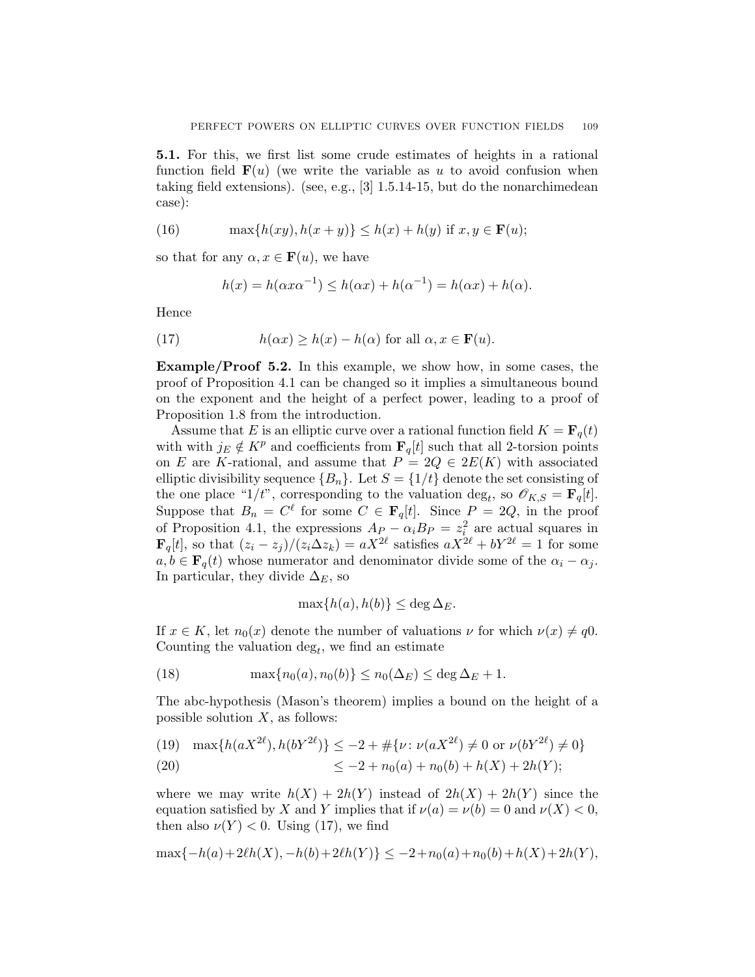<span id="page-14-0"></span>5.1. For this, we first list some crude estimates of heights in a rational function field  $F(u)$  (we write the variable as u to avoid confusion when taking field extensions). (see, e.g., [\[3\]](#page-17-0) 1.5.14-15, but do the nonarchimedean case):

(16) 
$$
\max\{h(xy), h(x+y)\} \le h(x) + h(y) \text{ if } x, y \in \mathbf{F}(u);
$$

so that for any  $\alpha, x \in \mathbf{F}(u)$ , we have

$$
h(x) = h(\alpha x \alpha^{-1}) \le h(\alpha x) + h(\alpha^{-1}) = h(\alpha x) + h(\alpha).
$$

Hence

(17) 
$$
h(\alpha x) \ge h(x) - h(\alpha) \text{ for all } \alpha, x \in \mathbf{F}(u).
$$

Example/Proof 5.2. In this example, we show how, in some cases, the proof of Proposition [4.1](#page-11-0) can be changed so it implies a simultaneous bound on the exponent and the height of a perfect power, leading to a proof of Proposition [1.8](#page-4-0) from the introduction.

Assume that E is an elliptic curve over a rational function field  $K = \mathbf{F}_q(t)$ with with  $j_E \notin K^p$  and coefficients from  $\mathbf{F}_q[t]$  such that all 2-torsion points on E are K-rational, and assume that  $P = 2Q \in 2E(K)$  with associated elliptic divisibility sequence  ${B_n}$ . Let  $S = \{1/t\}$  denote the set consisting of the one place "1/t", corresponding to the valuation deg<sub>t</sub>, so  $\mathscr{O}_{K,S} = \mathbf{F}_q[t]$ . Suppose that  $B_n = C^{\ell}$  for some  $C \in \mathbf{F}_q[t]$ . Since  $P = 2Q$ , in the proof of Proposition [4.1,](#page-11-0) the expressions  $A_P - \alpha_i B_P = z_i^2$  are actual squares in  $\mathbf{F}_q[t]$ , so that  $(z_i - z_j)/(z_i \Delta z_k) = aX^{2\ell}$  satisfies  $aX^{2\ell} + bY^{2\ell} = 1$  for some  $a, b \in \mathbf{F}_q(t)$  whose numerator and denominator divide some of the  $\alpha_i - \alpha_j$ . In particular, they divide  $\Delta_E$ , so

$$
\max\{h(a), h(b)\} \le \deg \Delta_E.
$$

If  $x \in K$ , let  $n_0(x)$  denote the number of valuations  $\nu$  for which  $\nu(x) \neq q0$ . Counting the valuation  $\deg_t$ , we find an estimate

(18) 
$$
\max\{n_0(a), n_0(b)\} \le n_0(\Delta_E) \le \deg \Delta_E + 1.
$$

The abc-hypothesis (Mason's theorem) implies a bound on the height of a possible solution  $X$ , as follows:

(19) 
$$
\max\{h(aX^{2\ell}), h(bY^{2\ell})\} \le -2 + \#\{\nu : \nu(aX^{2\ell}) \ne 0 \text{ or } \nu(bY^{2\ell}) \ne 0\}
$$
  
(20) 
$$
\le -2 + n_0(a) + n_0(b) + h(X) + 2h(Y);
$$

where we may write  $h(X) + 2h(Y)$  instead of  $2h(X) + 2h(Y)$  since the equation satisfied by X and Y implies that if  $\nu(a) = \nu(b) = 0$  and  $\nu(X) < 0$ , then also  $\nu(Y) < 0$ . Using (17), we find

$$
\max\{-h(a)+2\ell h(X), -h(b)+2\ell h(Y)\} \le -2 + n_0(a) + n_0(b) + h(X) + 2h(Y),
$$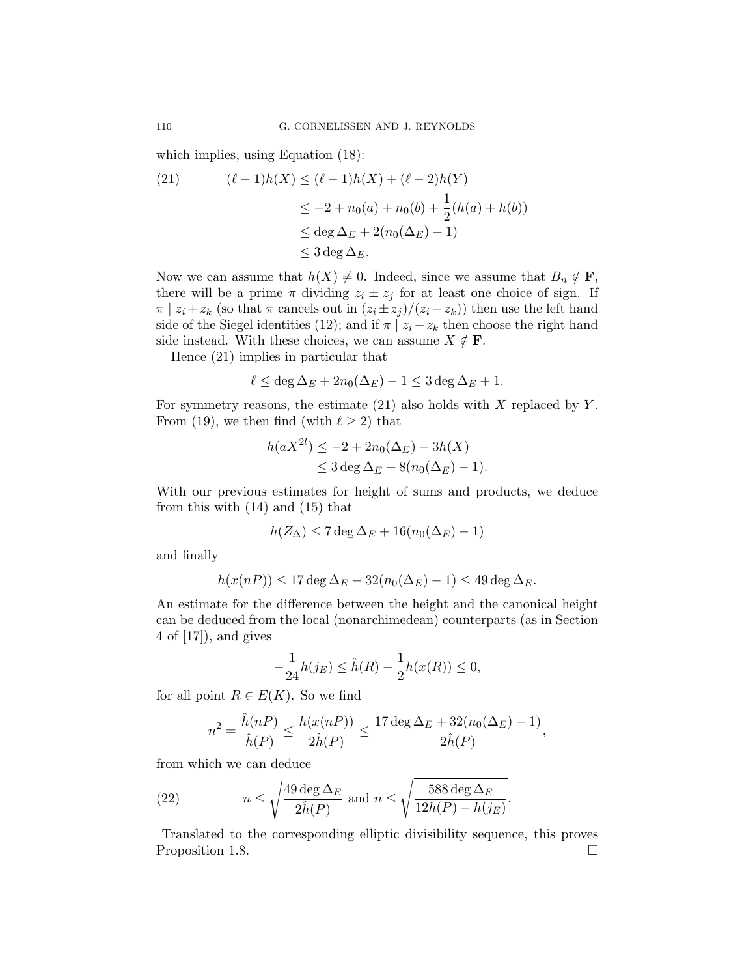which implies, using Equation [\(18\)](#page-14-0):

(21) 
$$
(\ell - 1)h(X) \le (\ell - 1)h(X) + (\ell - 2)h(Y) \le -2 + n_0(a) + n_0(b) + \frac{1}{2}(h(a) + h(b)) \le \deg \Delta_E + 2(n_0(\Delta_E) - 1) \le 3 \deg \Delta_E.
$$

Now we can assume that  $h(X) \neq 0$ . Indeed, since we assume that  $B_n \notin \mathbf{F}$ , there will be a prime  $\pi$  dividing  $z_i \pm z_j$  for at least one choice of sign. If  $\pi | z_i + z_k$  (so that  $\pi$  cancels out in  $(z_i \pm z_j)/(z_i + z_k)$ ) then use the left hand side of the Siegel identities [\(12\)](#page-12-0); and if  $\pi | z_i - z_k$  then choose the right hand side instead. With these choices, we can assume  $X \notin \mathbf{F}$ .

Hence (21) implies in particular that

$$
\ell \le \deg \Delta_E + 2n_0(\Delta_E) - 1 \le 3 \deg \Delta_E + 1.
$$

For symmetry reasons, the estimate  $(21)$  also holds with X replaced by Y. From [\(19\)](#page-14-0), we then find (with  $\ell \geq 2$ ) that

$$
h(aX^{2l}) \le -2 + 2n_0(\Delta_E) + 3h(X)
$$
  
\n
$$
\le 3 \deg \Delta_E + 8(n_0(\Delta_E) - 1).
$$

With our previous estimates for height of sums and products, we deduce from this with [\(14\)](#page-12-0) and [\(15\)](#page-12-0) that

$$
h(Z_{\Delta}) \le 7 \deg \Delta_E + 16(n_0(\Delta_E) - 1)
$$

and finally

$$
h(x(nP)) \le 17 \deg \Delta_E + 32(n_0(\Delta_E) - 1) \le 49 \deg \Delta_E.
$$

An estimate for the difference between the height and the canonical height can be deduced from the local (nonarchimedean) counterparts (as in Section 4 of [\[17\]](#page-18-0)), and gives

$$
-\frac{1}{24}h(j_E) \leq \hat{h}(R) - \frac{1}{2}h(x(R)) \leq 0,
$$

for all point  $R \in E(K)$ . So we find

$$
n^2 = \frac{\hat{h}(nP)}{\hat{h}(P)} \le \frac{h(x(nP))}{2\hat{h}(P)} \le \frac{17 \deg \Delta_E + 32(n_0(\Delta_E) - 1)}{2\hat{h}(P)},
$$

from which we can deduce

(22) 
$$
n \leq \sqrt{\frac{49 \deg \Delta_E}{2 \hat{h}(P)}} \text{ and } n \leq \sqrt{\frac{588 \deg \Delta_E}{12h(P) - h(j_E)}}.
$$

Translated to the corresponding elliptic divisibility sequence, this proves Proposition [1.8.](#page-4-0)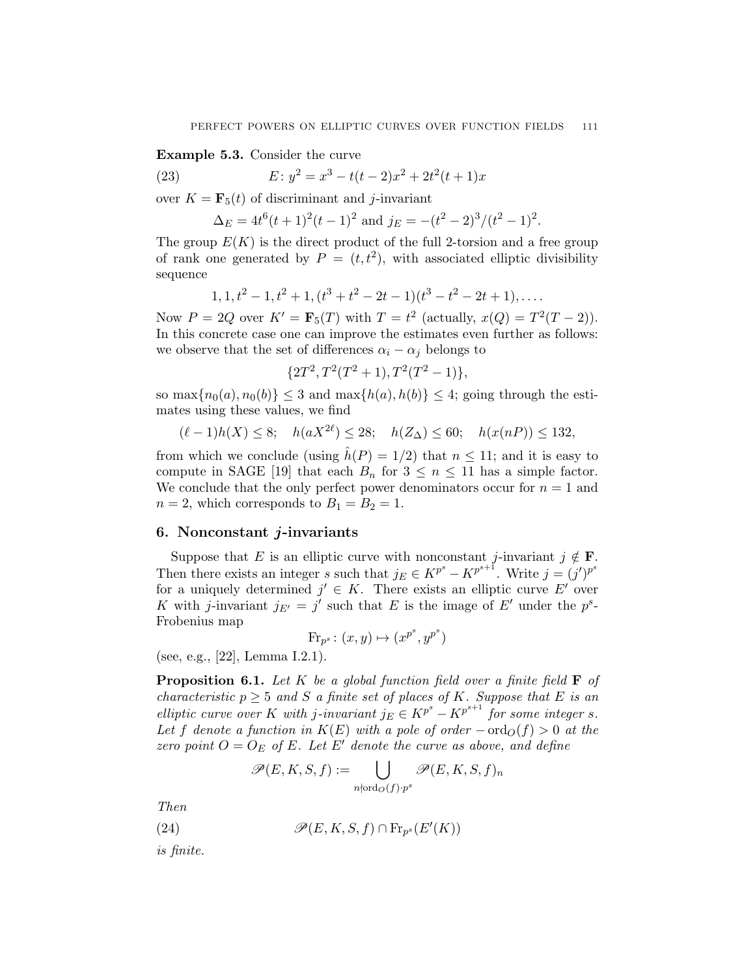<span id="page-16-0"></span>Example 5.3. Consider the curve

(23) 
$$
E: y^2 = x^3 - t(t-2)x^2 + 2t^2(t+1)x
$$

over  $K = \mathbf{F}_5(t)$  of discriminant and *j*-invariant

 $\Delta_E = 4t^6(t+1)^2(t-1)^2$  and  $j_E = -(t^2-2)^3/(t^2-1)^2$ .

The group  $E(K)$  is the direct product of the full 2-torsion and a free group of rank one generated by  $P = (t, t^2)$ , with associated elliptic divisibility sequence

$$
1, 1, t2 - 1, t2 + 1, (t3 + t2 - 2t - 1)(t3 - t2 - 2t + 1), \dots
$$

Now  $P = 2Q$  over  $K' = \mathbf{F}_5(T)$  with  $T = t^2$  (actually,  $x(Q) = T^2(T - 2)$ ). In this concrete case one can improve the estimates even further as follows: we observe that the set of differences  $\alpha_i - \alpha_j$  belongs to

$$
{2T^2, T^2(T^2+1), T^2(T^2-1)},
$$

so  $\max\{n_0(a), n_0(b)\} \leq 3$  and  $\max\{h(a), h(b)\} \leq 4$ ; going through the estimates using these values, we find

$$
(\ell - 1)h(X) \le 8; \quad h(aX^{2\ell}) \le 28; \quad h(Z_{\Delta}) \le 60; \quad h(x(nP)) \le 132,
$$

from which we conclude (using  $\hat{h}(P) = 1/2$ ) that  $n \le 11$ ; and it is easy to compute in SAGE [\[19\]](#page-18-0) that each  $B_n$  for  $3 \leq n \leq 11$  has a simple factor. We conclude that the only perfect power denominators occur for  $n = 1$  and  $n = 2$ , which corresponds to  $B_1 = B_2 = 1$ .

## 6. Nonconstant j-invariants

Suppose that E is an elliptic curve with nonconstant j-invariant  $j \notin \mathbf{F}$ . Then there exists an integer s such that  $j_E \in K^{p^s} - K^{p^{s+1}}$ . Write  $j = (j')^{p^s}$ for a uniquely determined  $j' \in K$ . There exists an elliptic curve E' over K with j-invariant  $j_{E'} = j'$  such that E is the image of E' under the  $p^s$ -Frobenius map

$$
\text{Fr}_{p^s}\colon (x,y)\mapsto (x^{p^s},y^{p^s})
$$

(see, e.g., [\[22\]](#page-18-0), Lemma I.2.1).

**Proposition 6.1.** Let K be a global function field over a finite field  $\mathbf{F}$  of characteristic  $p \geq 5$  and S a finite set of places of K. Suppose that E is an elliptic curve over K with j-invariant  $j_E \in K^{p^s} - K^{p^{s+1}}$  for some integer s. Let f denote a function in  $K(E)$  with a pole of order  $-\text{ord}_O(f) > 0$  at the zero point  $O = O_E$  of E. Let E' denote the curve as above, and define

$$
\mathscr{P}(E,K,S,f) := \bigcup_{n \nmid \text{ord}_O(f) \cdot p^s} \mathscr{P}(E,K,S,f)_n
$$

Then

(24)  $\mathscr{P}(E, K, S, f) \cap \text{Fr}_{p^s}(E'(K))$ 

is finite.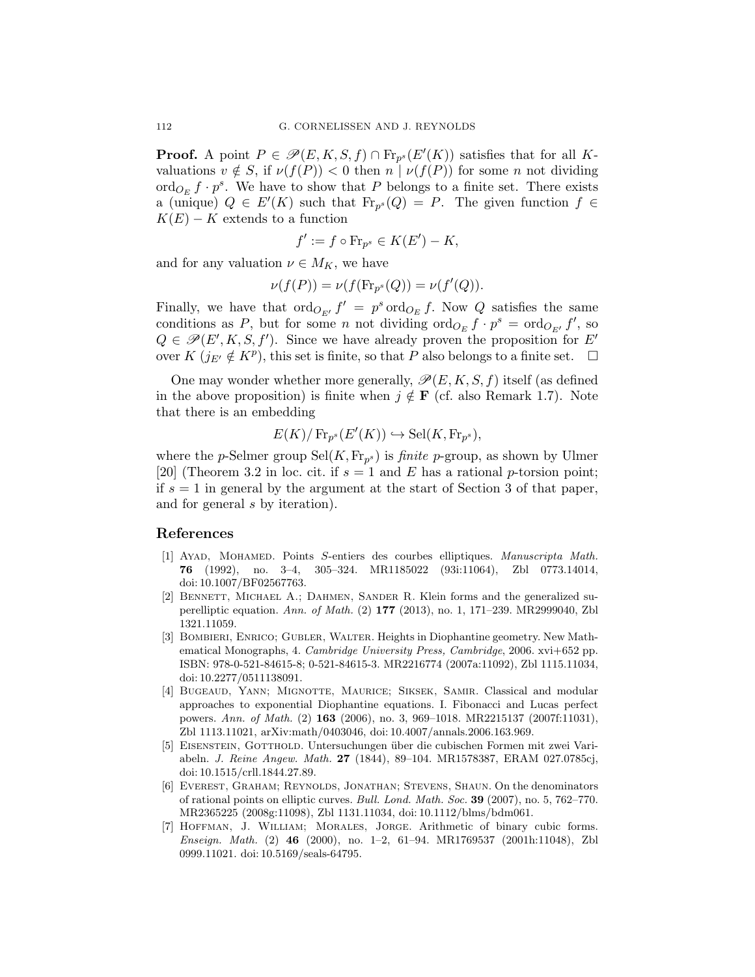<span id="page-17-0"></span>**Proof.** A point  $P \in \mathcal{P}(E, K, S, f) \cap \text{Fr}_{p^s}(E'(K))$  satisfies that for all Kvaluations  $v \notin S$ , if  $\nu(f(P)) < 0$  then  $n | \nu(f(P))$  for some n not dividing  $\operatorname{ord}_{O_E} f \cdot p^s$ . We have to show that P belongs to a finite set. There exists a (unique)  $Q \in E'(K)$  such that  $\text{Fr}_{p^s}(Q) = P$ . The given function  $f \in$  $K(E) - K$  extends to a function

$$
f' := f \circ \text{Fr}_{p^s} \in K(E') - K,
$$

and for any valuation  $\nu \in M_K$ , we have

$$
\nu(f(P)) = \nu(f(\mathrm{Fr}_{p^s}(Q)) = \nu(f'(Q)).
$$

Finally, we have that  $\text{ord}_{O_{E'}} f' = p^s \text{ ord}_{O_E} f$ . Now Q satisfies the same conditions as P, but for some n not dividing  $\operatorname{ord}_{O_E} f \cdot p^s = \operatorname{ord}_{O_{E'}} f'$ , so  $Q \in \mathscr{P}(E', K, S, f')$ . Since we have already proven the proposition for E' over  $K(j_{E'} \notin K^p)$ , this set is finite, so that P also belongs to a finite set.  $\Box$ 

One may wonder whether more generally,  $\mathscr{P}(E, K, S, f)$  itself (as defined in the above proposition) is finite when  $j \notin \mathbf{F}$  (cf. also Remark [1.7\)](#page-3-0). Note that there is an embedding

$$
E(K)/\operatorname{Fr}_{p^s}(E'(K)) \hookrightarrow \operatorname{Sel}(K, \operatorname{Fr}_{p^s}),
$$

where the *p*-Selmer group  $\text{Sel}(K, \text{Fr}_{p^s})$  is *finite p*-group, as shown by Ulmer [\[20\]](#page-18-0) (Theorem 3.2 in loc. cit. if  $s = 1$  and E has a rational p-torsion point; if  $s = 1$  in general by the argument at the start of Section 3 of that paper, and for general s by iteration).

#### References

- [1] Ayad, Mohamed. Points S-entiers des courbes elliptiques. Manuscripta Math. 76 (1992), no. 3–4, 305–324. [MR1185022](http://www.ams.org/mathscinet-getitem?mr=1185022) (93i:11064), [Zbl 0773.14014,](http://zbmath.org/?q=an:0773.14014) doi: [10.1007/BF02567763.](http://dx.doi.org/10.1007/BF02567763)
- [2] BENNETT, MICHAEL A.; DAHMEN, SANDER R. Klein forms and the generalized superelliptic equation. Ann. of Math. (2) 177 (2013), no. 1, 171–239. [MR2999040,](http://www.ams.org/mathscinet-getitem?mr=2999040) [Zbl](http://zbmath.org/?q=an:1321.11059) [1321.11059.](http://zbmath.org/?q=an:1321.11059)
- [3] Bombieri, Enrico; Gubler, Walter. Heights in Diophantine geometry. New Mathematical Monographs, 4. Cambridge University Press, Cambridge, 2006. xvi+652 pp. ISBN: 978-0-521-84615-8; 0-521-84615-3. [MR2216774](http://www.ams.org/mathscinet-getitem?mr=2216774) (2007a:11092), [Zbl 1115.11034,](http://zbmath.org/?q=an:1115.11034) doi: [10.2277/0511138091.](http://dx.doi.org/10.2277/0511138091)
- [4] Bugeaud, Yann; Mignotte, Maurice; Siksek, Samir. Classical and modular approaches to exponential Diophantine equations. I. Fibonacci and Lucas perfect powers. Ann. of Math. (2) 163 (2006), no. 3, 969–1018. [MR2215137](http://www.ams.org/mathscinet-getitem?mr=2215137) (2007f:11031), [Zbl 1113.11021,](http://zbmath.org/?q=an:1113.11021) [arXiv:math/0403046,](http://arXiv.org/abs/math/0403046) doi: [10.4007/annals.2006.163.969.](http://dx.doi.org/10.4007/annals.2006.163.969)
- [5] EISENSTEIN, GOTTHOLD. Untersuchungen über die cubischen Formen mit zwei Variabeln. J. Reine Angew. Math. 27 (1844), 89–104. [MR1578387,](http://www.ams.org/mathscinet-getitem?mr=1578387) [ERAM 027.0785cj,](http://www.emis.de/cgi-bin/MATH-item?027.0785cj) doi: [10.1515/crll.1844.27.89.](http://dx.doi.org/10.1515/crll.1844.27.89)
- [6] EVEREST, GRAHAM; REYNOLDS, JONATHAN; STEVENS, SHAUN. On the denominators of rational points on elliptic curves. Bull. Lond. Math. Soc. 39 (2007), no. 5, 762–770. [MR2365225](http://www.ams.org/mathscinet-getitem?mr=2365225) (2008g:11098), [Zbl 1131.11034,](http://zbmath.org/?q=an:1131.11034) doi: [10.1112/blms/bdm061.](http://dx.doi.org/10.1112/blms/bdm061)
- [7] Hoffman, J. William; Morales, Jorge. Arithmetic of binary cubic forms. Enseign. Math. (2) 46 (2000), no. 1–2, 61–94. [MR1769537](http://www.ams.org/mathscinet-getitem?mr=1769537) (2001h:11048), [Zbl](http://zbmath.org/?q=an:0999.11021) [0999.11021.](http://zbmath.org/?q=an:0999.11021) doi: [10.5169/seals-64795.](http://dx.doi.org/10.5169/seals-64795)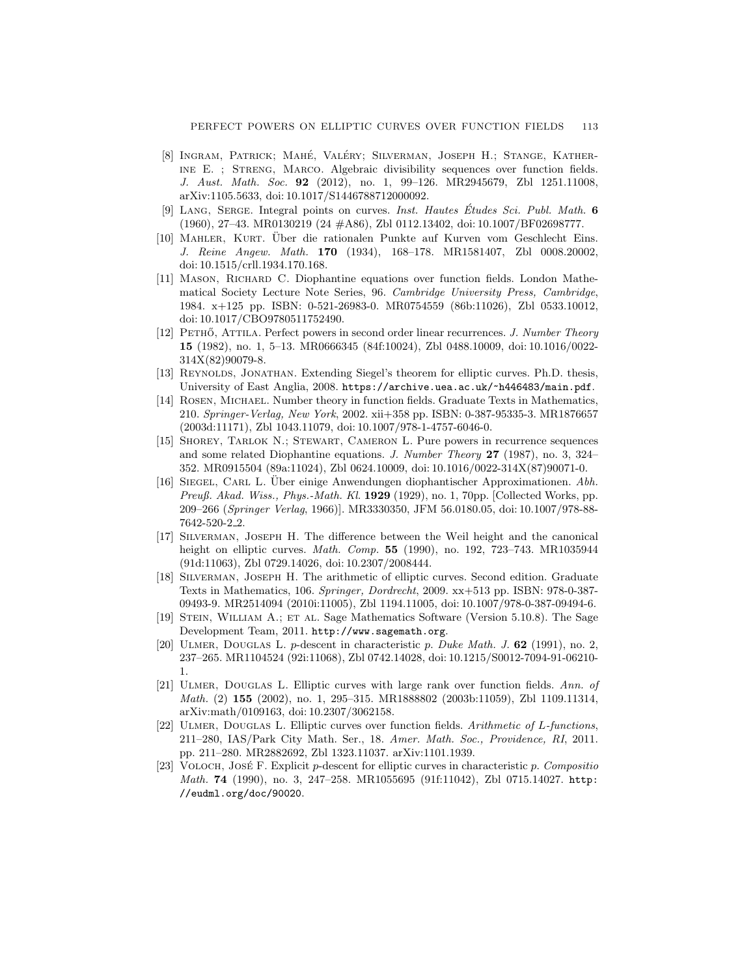- <span id="page-18-0"></span>[8] INGRAM, PATRICK; MAHÉ, VALÉRY; SILVERMAN, JOSEPH H.; STANGE, KATHERine E. ; Streng, Marco. Algebraic divisibility sequences over function fields. J. Aust. Math. Soc. 92 (2012), no. 1, 99–126. [MR2945679,](http://www.ams.org/mathscinet-getitem?mr=2945679) [Zbl 1251.11008,](http://zbmath.org/?q=an:1251.11008) [arXiv:1105.5633,](http://arXiv.org/abs/1105.5633) doi: [10.1017/S1446788712000092.](http://dx.doi.org/10.1017/S1446788712000092)
- [9] LANG, SERGE. Integral points on curves. Inst. Hautes Études Sci. Publ. Math. 6 (1960), 27–43. [MR0130219](http://www.ams.org/mathscinet-getitem?mr=0130219) (24 #A86), [Zbl 0112.13402,](http://zbmath.org/?q=an:0112.13402) doi: [10.1007/BF02698777.](http://dx.doi.org/10.1007/BF02698777)
- [10] Mahler, Kurt. Uber die rationalen Punkte auf Kurven vom Geschlecht Eins. ¨ J. Reine Angew. Math. 170 (1934), 168–178. [MR1581407,](http://www.ams.org/mathscinet-getitem?mr=1581407) [Zbl 0008.20002,](http://zbmath.org/?q=an:0008.20002) doi: [10.1515/crll.1934.170.168.](http://dx.doi.org/10.1515/crll.1934.170.168)
- [11] MASON, RICHARD C. Diophantine equations over function fields. London Mathematical Society Lecture Note Series, 96. Cambridge University Press, Cambridge, 1984. x+125 pp. ISBN: 0-521-26983-0. [MR0754559](http://www.ams.org/mathscinet-getitem?mr=0754559) (86b:11026), [Zbl 0533.10012,](http://zbmath.org/?q=an:0533.10012) doi: [10.1017/CBO9780511752490.](http://dx.doi.org/10.1017/CBO9780511752490)
- [12] PETHŐ, ATTILA. Perfect powers in second order linear recurrences. J. Number Theory 15 (1982), no. 1, 5–13. [MR0666345](http://www.ams.org/mathscinet-getitem?mr=0666345) (84f:10024), [Zbl 0488.10009,](http://zbmath.org/?q=an:0488.10009) doi: [10.1016/0022-](http://dx.doi.org/10.1016/0022-314X(82)90079-8) [314X\(82\)90079-8.](http://dx.doi.org/10.1016/0022-314X(82)90079-8)
- [13] REYNOLDS, JONATHAN. Extending Siegel's theorem for elliptic curves. Ph.D. thesis, University of East Anglia, 2008. <https://archive.uea.ac.uk/~h446483/main.pdf>.
- [14] Rosen, Michael. Number theory in function fields. Graduate Texts in Mathematics, 210. Springer-Verlag, New York, 2002. xii+358 pp. ISBN: 0-387-95335-3. [MR1876657](http://www.ams.org/mathscinet-getitem?mr=1876657) (2003d:11171), [Zbl 1043.11079,](http://zbmath.org/?q=an:1043.11079) doi: [10.1007/978-1-4757-6046-0.](http://dx.doi.org/10.1007/978-1-4757-6046-0)
- [15] Shorey, Tarlok N.; Stewart, Cameron L. Pure powers in recurrence sequences and some related Diophantine equations. J. Number Theory 27 (1987), no. 3, 324– 352. [MR0915504](http://www.ams.org/mathscinet-getitem?mr=0915504) (89a:11024), [Zbl 0624.10009,](http://zbmath.org/?q=an:0624.10009) doi: [10.1016/0022-314X\(87\)90071-0.](http://dx.doi.org/10.1016/0022-314X(87)90071-0)
- [16] SIEGEL, CARL L. Über einige Anwendungen diophantischer Approximationen. Abh. Preuß. Akad. Wiss., Phys.-Math. Kl. 1929 (1929), no. 1, 70pp. [Collected Works, pp. 209–266 (Springer Verlag, 1966)]. [MR3330350,](http://www.ams.org/mathscinet-getitem?mr=3330350) [JFM 56.0180.05,](http://www.emis.de/cgi-bin/MATH-item?56.0180.05) doi: [10.1007/978-88-](http://dx.doi.org/10.1007/978-88-7642-520-2_2) [7642-520-2](http://dx.doi.org/10.1007/978-88-7642-520-2_2) 2.
- [17] Silverman, Joseph H. The difference between the Weil height and the canonical height on elliptic curves. *Math. Comp.* **55** (1990), no. 192, 723–743. [MR1035944](http://www.ams.org/mathscinet-getitem?mr=1035944) (91d:11063), [Zbl 0729.14026,](http://zbmath.org/?q=an:0729.14026) doi: [10.2307/2008444.](http://dx.doi.org/10.2307/2008444)
- [18] Silverman, Joseph H. The arithmetic of elliptic curves. Second edition. Graduate Texts in Mathematics, 106. Springer, Dordrecht, 2009. xx+513 pp. ISBN: 978-0-387- 09493-9. [MR2514094](http://www.ams.org/mathscinet-getitem?mr=2514094) (2010i:11005), [Zbl 1194.11005,](http://zbmath.org/?q=an:1194.11005) doi: [10.1007/978-0-387-09494-6.](http://dx.doi.org/10.1007/978-0-387-09494-6)
- [19] Stein, William A.; et al. Sage Mathematics Software (Version 5.10.8). The Sage Development Team, 2011. <http://www.sagemath.org>.
- [20] Ulmer, Douglas L. p-descent in characteristic p. Duke Math. J. 62 (1991), no. 2, 237–265. [MR1104524](http://www.ams.org/mathscinet-getitem?mr=1104524) (92i:11068), [Zbl 0742.14028,](http://zbmath.org/?q=an:0742.14028) doi: [10.1215/S0012-7094-91-06210-](http://dx.doi.org/10.1215/S0012-7094-91-06210-1) [1.](http://dx.doi.org/10.1215/S0012-7094-91-06210-1)
- [21] Ulmer, Douglas L. Elliptic curves with large rank over function fields. Ann. of Math. (2) 155 (2002), no. 1, 295–315. [MR1888802](http://www.ams.org/mathscinet-getitem?mr=1888802) (2003b:11059), [Zbl 1109.11314,](http://zbmath.org/?q=an:1109.11314) [arXiv:math/0109163,](http://arXiv.org/abs/math/0109163) doi: [10.2307/3062158.](http://dx.doi.org/10.2307/3062158)
- [22] Ulmer, Douglas L. Elliptic curves over function fields. Arithmetic of L-functions, 211–280, IAS/Park City Math. Ser., 18. Amer. Math. Soc., Providence, RI, 2011. pp. 211–280. [MR2882692,](http://www.ams.org/mathscinet-getitem?mr=2882692) [Zbl 1323.11037.](http://zbmath.org/?q=an:1323.11037) [arXiv:1101.1939.](http://arXiv.org/abs/1101.1939)
- [23] VOLOCH, JOSÉ F. Explicit p-descent for elliptic curves in characteristic p. Compositio Math. 74 (1990), no. 3, 247–258. [MR1055695](http://www.ams.org/mathscinet-getitem?mr=1055695) (91f:11042), [Zbl 0715.14027.](http://zbmath.org/?q=an:0715.14027) [http:](http://eudml.org/doc/90020) [//eudml.org/doc/90020](http://eudml.org/doc/90020).